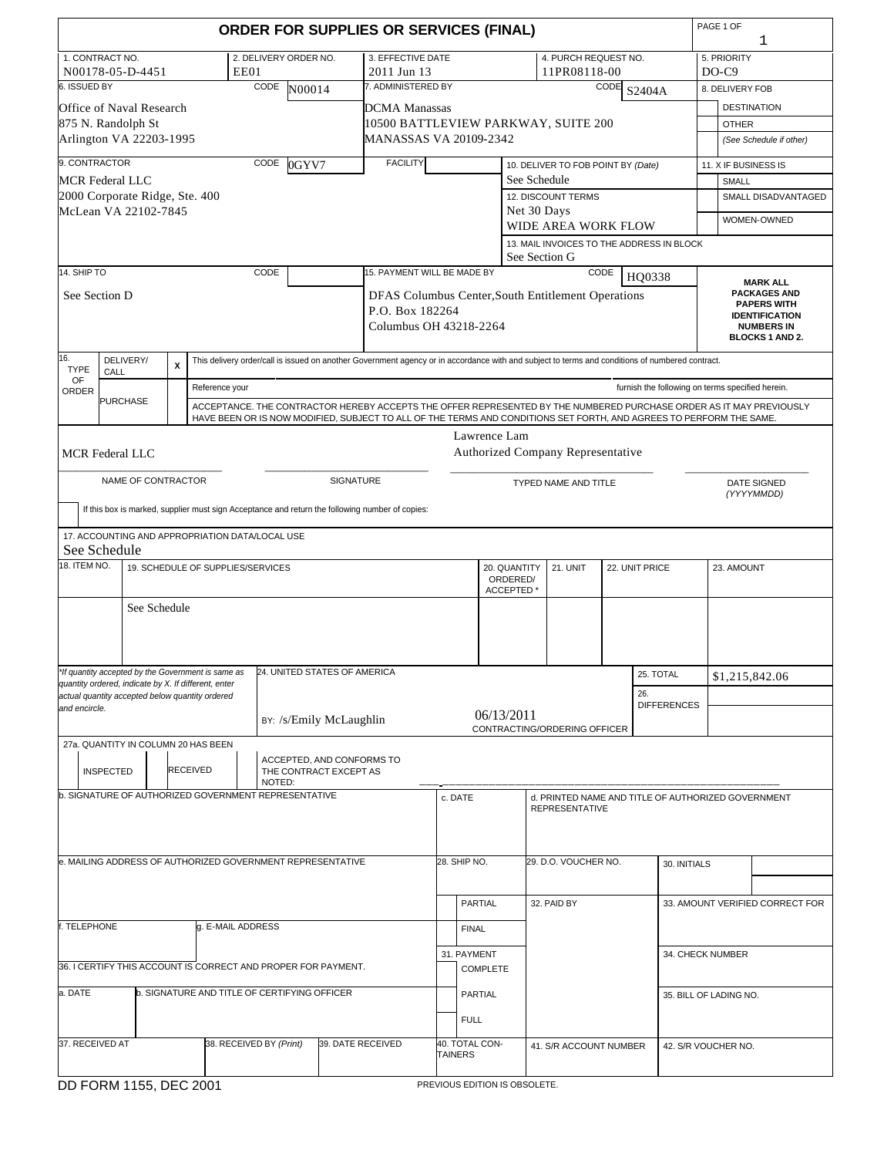|                                                                                                         |                    |              |                           |                                                                                 |                       |        |                                                     | <b>ORDER FOR SUPPLIES OR SERVICES (FINAL)</b>                                                                                                                                                                                              |                |                 |                          |                                                    |      |                |                                                  | PAGE 1 OF |                    | 1                                           |
|---------------------------------------------------------------------------------------------------------|--------------------|--------------|---------------------------|---------------------------------------------------------------------------------|-----------------------|--------|-----------------------------------------------------|--------------------------------------------------------------------------------------------------------------------------------------------------------------------------------------------------------------------------------------------|----------------|-----------------|--------------------------|----------------------------------------------------|------|----------------|--------------------------------------------------|-----------|--------------------|---------------------------------------------|
| 1. CONTRACT NO.<br>N00178-05-D-4451                                                                     |                    |              |                           | EE01                                                                            | 2. DELIVERY ORDER NO. |        |                                                     | 3. EFFECTIVE DATE<br>2011 Jun 13                                                                                                                                                                                                           |                |                 |                          | 4. PURCH REQUEST NO.<br>11PR08118-00               |      |                |                                                  | $DO-C9$   | 5. PRIORITY        |                                             |
| 6. ISSUED BY                                                                                            |                    |              |                           |                                                                                 | <b>CODE</b>           | N00014 |                                                     | 7. ADMINISTERED BY                                                                                                                                                                                                                         |                |                 |                          |                                                    | CODE | S2404A         |                                                  |           | 8. DELIVERY FOB    |                                             |
| Office of Naval Research                                                                                |                    |              |                           |                                                                                 |                       |        |                                                     | DCMA Manassas                                                                                                                                                                                                                              |                |                 |                          |                                                    |      |                |                                                  |           | <b>DESTINATION</b> |                                             |
| 875 N. Randolph St                                                                                      |                    |              |                           |                                                                                 |                       |        |                                                     | 10500 BATTLEVIEW PARKWAY, SUITE 200                                                                                                                                                                                                        |                |                 |                          |                                                    |      |                |                                                  |           | <b>OTHER</b>       |                                             |
| Arlington VA 22203-1995                                                                                 |                    |              |                           |                                                                                 |                       |        |                                                     | MANASSAS VA 20109-2342                                                                                                                                                                                                                     |                |                 |                          |                                                    |      |                |                                                  |           |                    | (See Schedule if other)                     |
| 9. CONTRACTOR                                                                                           |                    |              |                           |                                                                                 | CODE                  | 0GYV7  |                                                     | <b>FACILITY</b>                                                                                                                                                                                                                            |                |                 |                          | 10. DELIVER TO FOB POINT BY (Date)                 |      |                |                                                  |           |                    | 11. X IF BUSINESS IS                        |
| <b>MCR Federal LLC</b>                                                                                  |                    |              |                           |                                                                                 |                       |        |                                                     |                                                                                                                                                                                                                                            |                |                 | See Schedule             |                                                    |      |                |                                                  |           | SMALL              |                                             |
| 2000 Corporate Ridge, Ste. 400                                                                          |                    |              |                           |                                                                                 |                       |        |                                                     |                                                                                                                                                                                                                                            |                |                 |                          | <b>12. DISCOUNT TERMS</b>                          |      |                |                                                  |           |                    | <b>SMALL DISADVANTAGED</b>                  |
| McLean VA 22102-7845                                                                                    |                    |              |                           |                                                                                 |                       |        |                                                     |                                                                                                                                                                                                                                            |                |                 | Net 30 Days              | WIDE AREA WORK FLOW                                |      |                |                                                  |           |                    | WOMEN-OWNED                                 |
|                                                                                                         |                    |              |                           |                                                                                 |                       |        |                                                     |                                                                                                                                                                                                                                            |                |                 |                          | 13. MAIL INVOICES TO THE ADDRESS IN BLOCK          |      |                |                                                  |           |                    |                                             |
|                                                                                                         |                    |              |                           |                                                                                 |                       |        |                                                     |                                                                                                                                                                                                                                            |                |                 | See Section G            |                                                    |      |                |                                                  |           |                    |                                             |
| 14. SHIP $\overline{TO}$                                                                                |                    |              |                           |                                                                                 | CODE                  |        |                                                     | 15. PAYMENT WILL BE MADE BY                                                                                                                                                                                                                |                |                 |                          |                                                    | CODE | HQ0338         |                                                  |           |                    | <b>MARK ALL</b>                             |
| See Section D                                                                                           |                    |              |                           |                                                                                 |                       |        |                                                     | DFAS Columbus Center, South Entitlement Operations                                                                                                                                                                                         |                |                 |                          |                                                    |      |                |                                                  |           |                    | <b>PACKAGES AND</b><br><b>PAPERS WITH</b>   |
|                                                                                                         |                    |              |                           |                                                                                 |                       |        |                                                     | P.O. Box 182264                                                                                                                                                                                                                            |                |                 |                          |                                                    |      |                |                                                  |           |                    | <b>IDENTIFICATION</b>                       |
|                                                                                                         |                    |              |                           |                                                                                 |                       |        |                                                     | Columbus OH 43218-2264                                                                                                                                                                                                                     |                |                 |                          |                                                    |      |                |                                                  |           |                    | <b>NUMBERS IN</b><br><b>BLOCKS 1 AND 2.</b> |
| 16.                                                                                                     | DELIVERY/          |              |                           |                                                                                 |                       |        |                                                     | This delivery order/call is issued on another Government agency or in accordance with and subject to terms and conditions of numbered contract.                                                                                            |                |                 |                          |                                                    |      |                |                                                  |           |                    |                                             |
| <b>TYPE</b><br>OF                                                                                       | CALL               |              | $\boldsymbol{\mathsf{x}}$ |                                                                                 |                       |        |                                                     |                                                                                                                                                                                                                                            |                |                 |                          |                                                    |      |                |                                                  |           |                    |                                             |
| ORDER                                                                                                   | <b>PURCHASE</b>    |              |                           | Reference your                                                                  |                       |        |                                                     |                                                                                                                                                                                                                                            |                |                 |                          |                                                    |      |                | furnish the following on terms specified herein. |           |                    |                                             |
|                                                                                                         |                    |              |                           |                                                                                 |                       |        |                                                     | ACCEPTANCE. THE CONTRACTOR HEREBY ACCEPTS THE OFFER REPRESENTED BY THE NUMBERED PURCHASE ORDER AS IT MAY PREVIOUSLY<br>HAVE BEEN OR IS NOW MODIFIED, SUBJECT TO ALL OF THE TERMS AND CONDITIONS SET FORTH, AND AGREES TO PERFORM THE SAME. |                |                 |                          |                                                    |      |                |                                                  |           |                    |                                             |
|                                                                                                         |                    |              |                           |                                                                                 |                       |        |                                                     |                                                                                                                                                                                                                                            |                | Lawrence Lam    |                          |                                                    |      |                |                                                  |           |                    |                                             |
| <b>MCR Federal LLC</b>                                                                                  |                    |              |                           |                                                                                 |                       |        |                                                     |                                                                                                                                                                                                                                            |                |                 |                          | Authorized Company Representative                  |      |                |                                                  |           |                    |                                             |
|                                                                                                         | NAME OF CONTRACTOR |              |                           |                                                                                 |                       |        | SIGNATURE                                           |                                                                                                                                                                                                                                            |                |                 |                          |                                                    |      |                |                                                  |           |                    |                                             |
|                                                                                                         |                    |              |                           |                                                                                 |                       |        |                                                     |                                                                                                                                                                                                                                            |                |                 |                          | TYPED NAME AND TITLE                               |      |                |                                                  |           |                    | <b>DATE SIGNED</b><br>(YYYYMMDD)            |
|                                                                                                         |                    |              |                           |                                                                                 |                       |        |                                                     | If this box is marked, supplier must sign Acceptance and return the following number of copies:                                                                                                                                            |                |                 |                          |                                                    |      |                |                                                  |           |                    |                                             |
|                                                                                                         |                    |              |                           | 17. ACCOUNTING AND APPROPRIATION DATA/LOCAL USE                                 |                       |        |                                                     |                                                                                                                                                                                                                                            |                |                 |                          |                                                    |      |                |                                                  |           |                    |                                             |
| See Schedule                                                                                            |                    |              |                           |                                                                                 |                       |        |                                                     |                                                                                                                                                                                                                                            |                |                 |                          |                                                    |      |                |                                                  |           |                    |                                             |
| 18. ITEM NO.                                                                                            |                    |              |                           | 19. SCHEDULE OF SUPPLIES/SERVICES                                               |                       |        |                                                     |                                                                                                                                                                                                                                            |                | ACCEPTED*       | 20. QUANTITY<br>ORDERED/ | 21. UNIT                                           |      | 22. UNIT PRICE |                                                  |           | 23. AMOUNT         |                                             |
|                                                                                                         |                    | See Schedule |                           |                                                                                 |                       |        |                                                     |                                                                                                                                                                                                                                            |                |                 |                          |                                                    |      |                |                                                  |           |                    |                                             |
|                                                                                                         |                    |              |                           |                                                                                 |                       |        |                                                     |                                                                                                                                                                                                                                            |                |                 |                          |                                                    |      |                |                                                  |           |                    |                                             |
|                                                                                                         |                    |              |                           |                                                                                 |                       |        |                                                     |                                                                                                                                                                                                                                            |                |                 |                          |                                                    |      |                |                                                  |           |                    |                                             |
|                                                                                                         |                    |              |                           | *If quantity accepted by the Government is same as 24. UNITED STATES OF AMERICA |                       |        |                                                     |                                                                                                                                                                                                                                            |                |                 |                          |                                                    |      |                | 25. TOTAL                                        |           |                    | \$1,215,842.06                              |
| quantity ordered, indicate by X. If different, enter<br>actual quantity accepted below quantity ordered |                    |              |                           |                                                                                 |                       |        |                                                     |                                                                                                                                                                                                                                            |                |                 |                          |                                                    |      | 26.            |                                                  |           |                    |                                             |
| and encircle.                                                                                           |                    |              |                           |                                                                                 |                       |        |                                                     |                                                                                                                                                                                                                                            |                | 06/13/2011      |                          |                                                    |      |                | <b>DIFFERENCES</b>                               |           |                    |                                             |
|                                                                                                         |                    |              |                           |                                                                                 |                       |        | BY: /s/Emily McLaughlin                             |                                                                                                                                                                                                                                            |                |                 |                          | CONTRACTING/ORDERING OFFICER                       |      |                |                                                  |           |                    |                                             |
| 27a. QUANTITY IN COLUMN 20 HAS BEEN                                                                     |                    |              |                           |                                                                                 |                       |        |                                                     |                                                                                                                                                                                                                                            |                |                 |                          |                                                    |      |                |                                                  |           |                    |                                             |
|                                                                                                         | <b>INSPECTED</b>   |              | <b>RECEIVED</b>           |                                                                                 | NOTED:                |        | ACCEPTED, AND CONFORMS TO<br>THE CONTRACT EXCEPT AS |                                                                                                                                                                                                                                            |                |                 |                          |                                                    |      |                |                                                  |           |                    |                                             |
|                                                                                                         |                    |              |                           | b. SIGNATURE OF AUTHORIZED GOVERNMENT REPRESENTATIVE                            |                       |        |                                                     |                                                                                                                                                                                                                                            | c. DATE        |                 |                          | d. PRINTED NAME AND TITLE OF AUTHORIZED GOVERNMENT |      |                |                                                  |           |                    |                                             |
|                                                                                                         |                    |              |                           |                                                                                 |                       |        |                                                     |                                                                                                                                                                                                                                            |                |                 |                          | <b>REPRESENTATIVE</b>                              |      |                |                                                  |           |                    |                                             |
|                                                                                                         |                    |              |                           |                                                                                 |                       |        |                                                     |                                                                                                                                                                                                                                            |                |                 |                          |                                                    |      |                |                                                  |           |                    |                                             |
|                                                                                                         |                    |              |                           |                                                                                 |                       |        |                                                     |                                                                                                                                                                                                                                            |                |                 |                          | 29. D.O. VOUCHER NO.                               |      |                |                                                  |           |                    |                                             |
|                                                                                                         |                    |              |                           | e. MAILING ADDRESS OF AUTHORIZED GOVERNMENT REPRESENTATIVE                      |                       |        |                                                     |                                                                                                                                                                                                                                            | 28. SHIP NO.   |                 |                          |                                                    |      |                | 30. INITIALS                                     |           |                    |                                             |
|                                                                                                         |                    |              |                           |                                                                                 |                       |        |                                                     |                                                                                                                                                                                                                                            |                |                 |                          |                                                    |      |                |                                                  |           |                    |                                             |
|                                                                                                         |                    |              |                           |                                                                                 |                       |        |                                                     |                                                                                                                                                                                                                                            |                | PARTIAL         |                          | 32. PAID BY                                        |      |                |                                                  |           |                    | 33. AMOUNT VERIFIED CORRECT FOR             |
| f. TELEPHONE                                                                                            |                    |              |                           | g. E-MAIL ADDRESS                                                               |                       |        |                                                     |                                                                                                                                                                                                                                            | <b>FINAL</b>   |                 |                          |                                                    |      |                |                                                  |           |                    |                                             |
|                                                                                                         |                    |              |                           |                                                                                 |                       |        |                                                     |                                                                                                                                                                                                                                            |                | 31. PAYMENT     |                          |                                                    |      |                | 34. CHECK NUMBER                                 |           |                    |                                             |
|                                                                                                         |                    |              |                           | 36. I CERTIFY THIS ACCOUNT IS CORRECT AND PROPER FOR PAYMENT.                   |                       |        |                                                     |                                                                                                                                                                                                                                            |                | <b>COMPLETE</b> |                          |                                                    |      |                |                                                  |           |                    |                                             |
| a. DATE                                                                                                 |                    |              |                           | b. SIGNATURE AND TITLE OF CERTIFYING OFFICER                                    |                       |        |                                                     |                                                                                                                                                                                                                                            |                | PARTIAL         |                          |                                                    |      |                |                                                  |           |                    |                                             |
|                                                                                                         |                    |              |                           |                                                                                 |                       |        |                                                     |                                                                                                                                                                                                                                            |                |                 |                          |                                                    |      |                | 35. BILL OF LADING NO.                           |           |                    |                                             |
|                                                                                                         |                    |              |                           |                                                                                 |                       |        |                                                     |                                                                                                                                                                                                                                            | <b>FULL</b>    |                 |                          |                                                    |      |                |                                                  |           |                    |                                             |
| 37. RECEIVED AT                                                                                         |                    |              |                           | 38. RECEIVED BY (Print)                                                         |                       |        | 39. DATE RECEIVED                                   |                                                                                                                                                                                                                                            | <b>TAINERS</b> | 40. TOTAL CON-  |                          | 41. S/R ACCOUNT NUMBER                             |      |                | 42. S/R VOUCHER NO.                              |           |                    |                                             |
|                                                                                                         |                    |              |                           |                                                                                 |                       |        |                                                     |                                                                                                                                                                                                                                            |                |                 |                          |                                                    |      |                |                                                  |           |                    |                                             |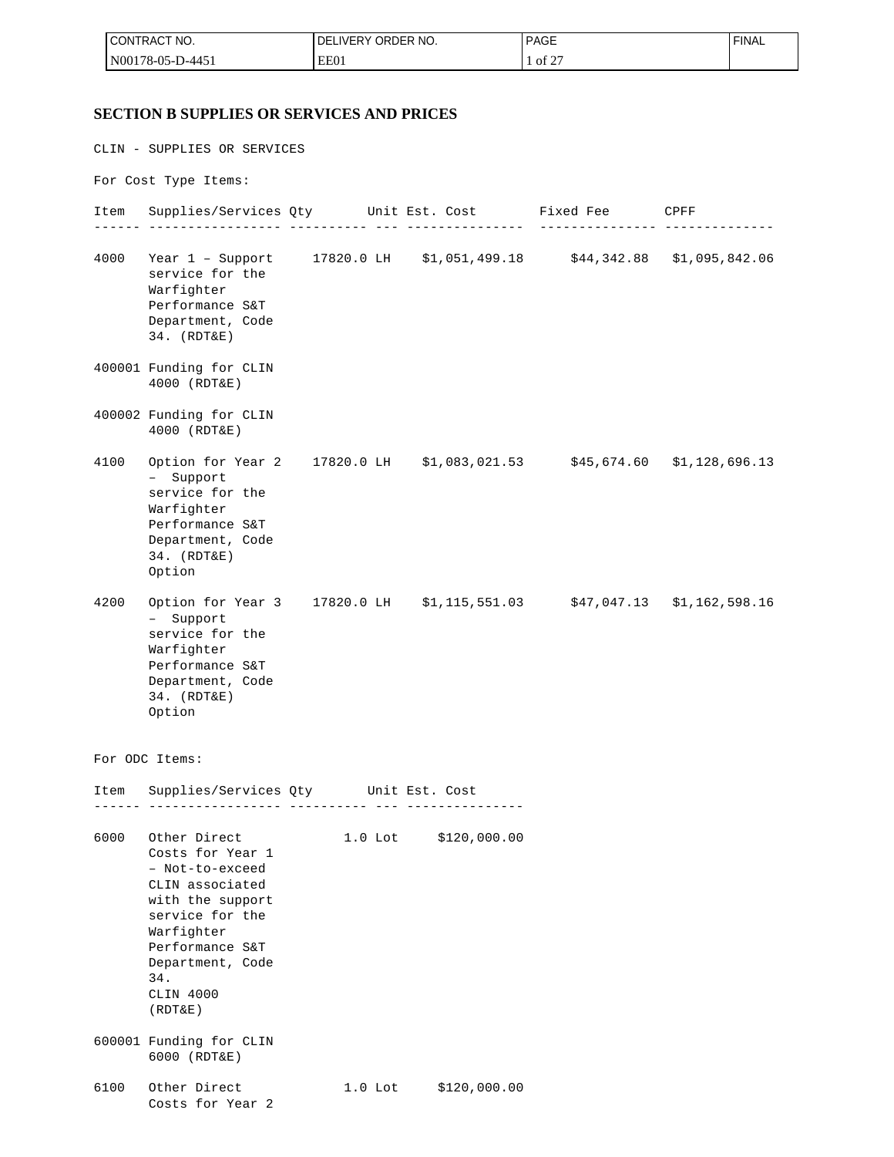| ACT NO.<br><b>CONTRACT</b> | ORDER NO.<br><b>DELIVERY</b> | <b>PAGE</b>                  | <b>FINAL</b> |
|----------------------------|------------------------------|------------------------------|--------------|
| $N00178-05-D$<br>-D-4451   | EE01                         | $\sim$ $\sim$ $\sim$<br>of 2 |              |

#### **SECTION B SUPPLIES OR SERVICES AND PRICES**

CLIN - SUPPLIES OR SERVICES For Cost Type Items: Item Supplies/Services Qty Unit Est. Cost Fixed Fee CPFF ------ ----------------- ---------- --- --------------- --------------- -------------- 4000 Year 1 – Support 17820.0 LH \$1,051,499.18 \$44,342.88 \$1,095,842.06 service for the Warfighter Performance S&T Department, Code 34. (RDT&E) 400001 Funding for CLIN 4000 (RDT&E) 400002 Funding for CLIN 4000 (RDT&E) 4100 Option for Year 2 17820.0 LH \$1,083,021.53 \$45,674.60 \$1,128,696.13 – Support service for the Warfighter Performance S&T Department, Code 34. (RDT&E) Option 4200 Option for Year 3 17820.0 LH \$1,115,551.03 \$47,047.13 \$1,162,598.16 – Support service for the Warfighter Performance S&T Department, Code 34. (RDT&E) Option For ODC Items: Item Supplies/Services Qty Unit Est. Cost ------ ----------------- ---------- --- --------------- 6000 Other Direct 1.0 Lot \$120,000.00 Costs for Year 1 – Not-to-exceed CLIN associated with the support service for the Warfighter Performance S&T Department, Code 34. CLIN 4000 (RDT&E) 600001 Funding for CLIN 6000 (RDT&E) 6100 Other Direct 1.0 Lot \$120,000.00 Costs for Year 2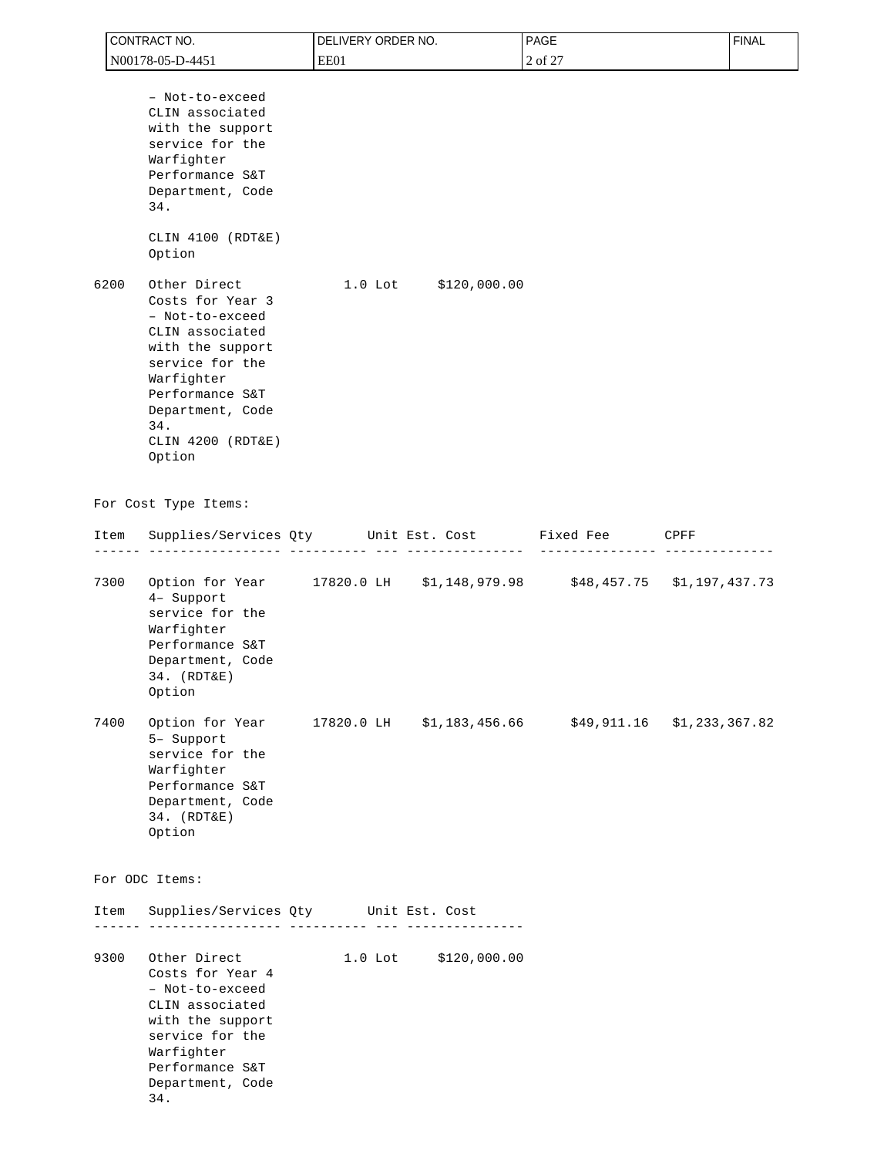| CONTRACT NO.                           |                                                                                                                                                                                         | DELIVERY ORDER NO.                   |                      | PAGE                                                                 | <b>FINAL</b> |
|----------------------------------------|-----------------------------------------------------------------------------------------------------------------------------------------------------------------------------------------|--------------------------------------|----------------------|----------------------------------------------------------------------|--------------|
| N00178-05-D-4451                       |                                                                                                                                                                                         | EE01                                 |                      | 2 of 27                                                              |              |
| 34.                                    | - Not-to-exceed<br>CLIN associated<br>with the support<br>service for the<br>Warfighter<br>Performance S&T<br>Department, Code<br>CLIN 4100 (RDT&E)                                     |                                      |                      |                                                                      |              |
| Option<br>6200<br>34.                  | Other Direct<br>Costs for Year 3<br>- Not-to-exceed<br>CLIN associated<br>with the support<br>service for the<br>Warfighter<br>Performance S&T<br>Department, Code<br>CLIN 4200 (RDT&E) |                                      | 1.0 Lot \$120,000.00 |                                                                      |              |
| Option<br>For Cost Type Items:<br>Item |                                                                                                                                                                                         |                                      |                      | Supplies/Services Qty Unit Est. Cost Fixed Fee CPFF                  |              |
|                                        |                                                                                                                                                                                         | - ----------- -                      | _____________        | ---------------                                                      |              |
| 7300<br>Option                         | 4- Support<br>service for the<br>Warfighter<br>Performance S&T<br>Department, Code<br>34. (RDT&E)                                                                                       |                                      |                      | Option for Year 17820.0 LH \$1,148,979.98 \$48,457.75 \$1,197,437.73 |              |
| 7400<br>Option                         | 5- Support<br>service for the<br>Warfighter<br>Performance S&T<br>Department, Code<br>34. (RDT&E)                                                                                       |                                      |                      | Option for Year 17820.0 LH \$1,183,456.66 \$49,911.16 \$1,233,367.82 |              |
| For ODC Items:                         |                                                                                                                                                                                         |                                      |                      |                                                                      |              |
| Item                                   |                                                                                                                                                                                         | Supplies/Services Qty Unit Est. Cost |                      |                                                                      |              |
| 9300<br>34.                            | Other Direct<br>Costs for Year 4<br>- Not-to-exceed<br>CLIN associated<br>with the support<br>service for the<br>Warfighter<br>Performance S&T<br>Department, Code                      |                                      | 1.0 Lot \$120,000.00 |                                                                      |              |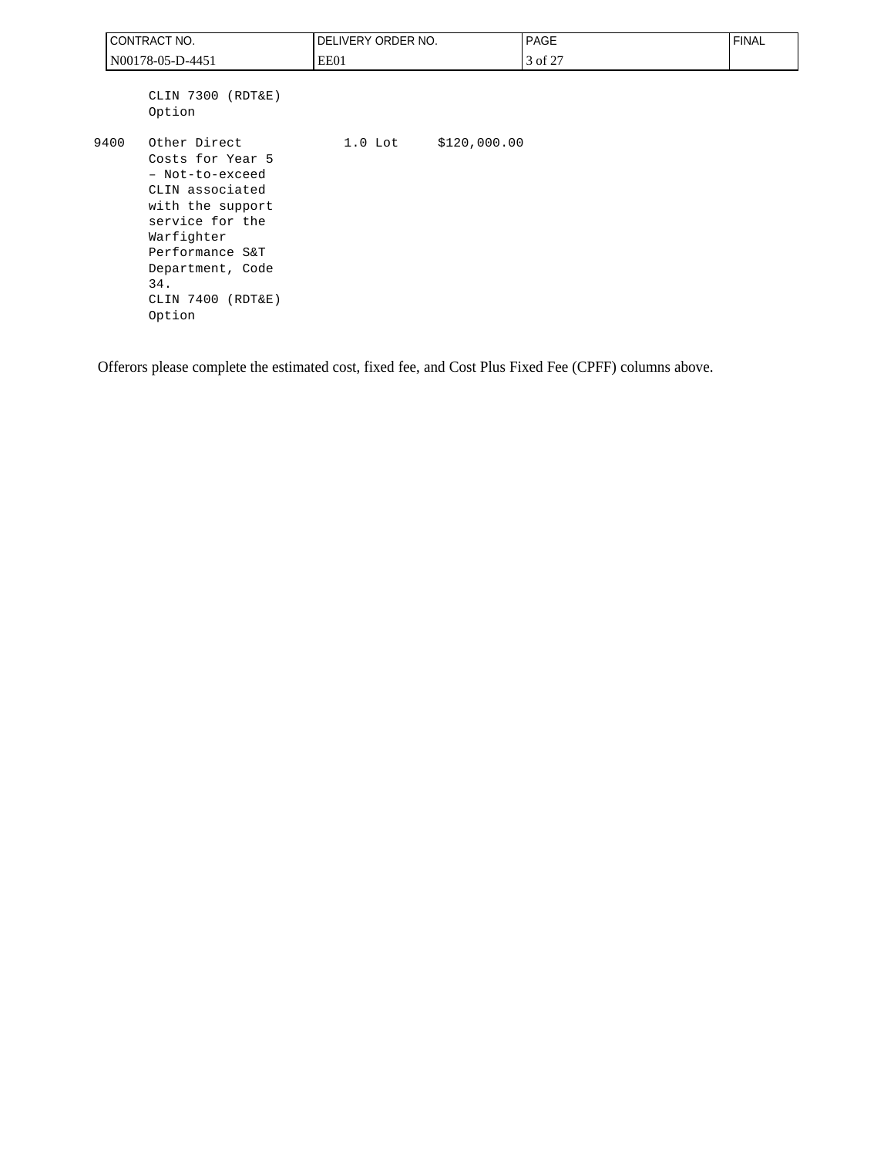|                  | CONTRACT NO.                                                                                                                                                                                             | DELIVERY ORDER NO. |              | <b>PAGE</b> | <b>FINAL</b> |
|------------------|----------------------------------------------------------------------------------------------------------------------------------------------------------------------------------------------------------|--------------------|--------------|-------------|--------------|
| N00178-05-D-4451 |                                                                                                                                                                                                          | EE01               |              | 3 of 27     |              |
|                  | CLIN 7300 (RDT&E)<br>Option                                                                                                                                                                              |                    |              |             |              |
| 9400             | Other Direct<br>Costs for Year 5<br>- Not-to-exceed<br>CLIN associated<br>with the support<br>service for the<br>Warfighter<br>Performance S&T<br>Department, Code<br>34.<br>CLIN 7400 (RDT&E)<br>Option | $1.0$ Lot          | \$120,000.00 |             |              |

Offerors please complete the estimated cost, fixed fee, and Cost Plus Fixed Fee (CPFF) columns above.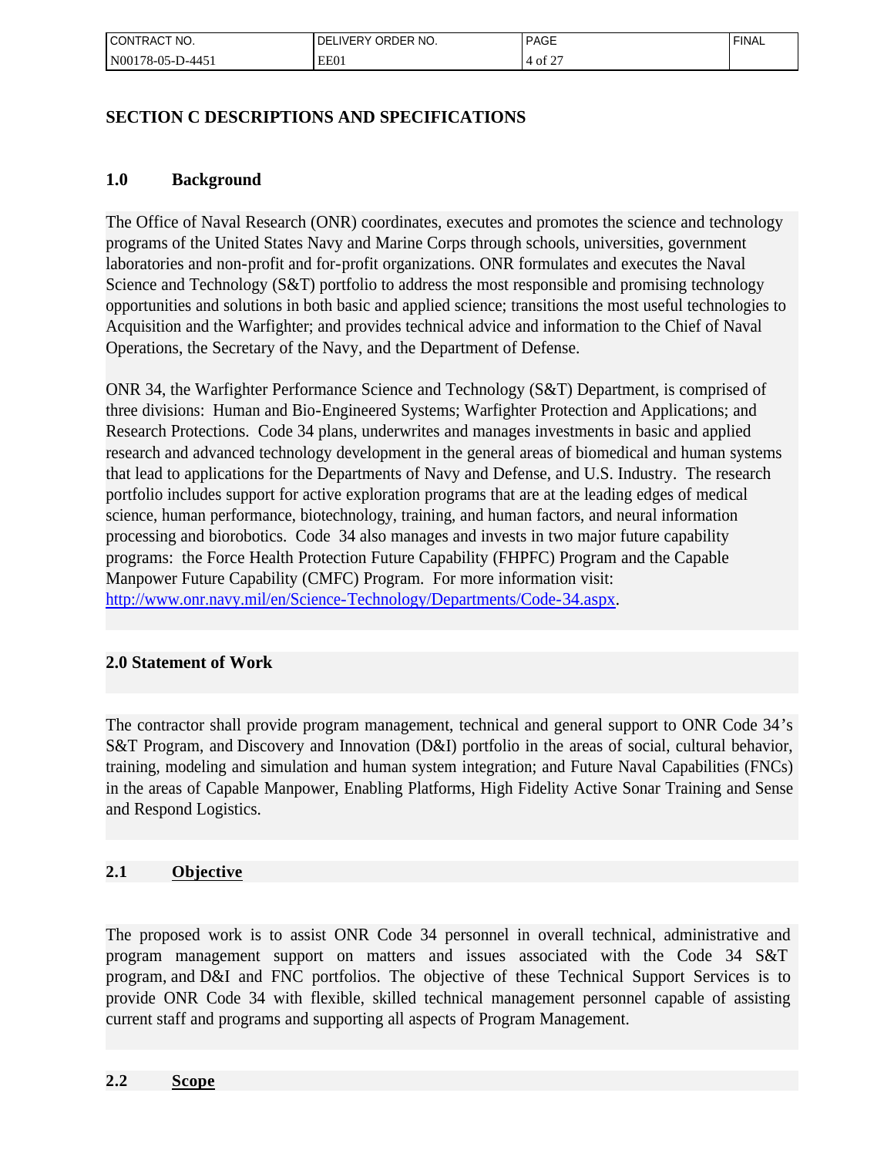| ! CONTRACT NO.            | LIVERY ORDER NO.<br>DF | <b>PAGE</b>          | <b>FINAL</b> |
|---------------------------|------------------------|----------------------|--------------|
| 'N00178-05-L<br>$-D-4451$ | EE01                   | $c \Delta r$<br>of 2 |              |

# **SECTION C DESCRIPTIONS AND SPECIFICATIONS**

### **1.0 Background**

The Office of Naval Research (ONR) coordinates, executes and promotes the science and technology programs of the United States Navy and Marine Corps through schools, universities, government laboratories and non-profit and for-profit organizations. ONR formulates and executes the Naval Science and Technology (S&T) portfolio to address the most responsible and promising technology opportunities and solutions in both basic and applied science; transitions the most useful technologies to Acquisition and the Warfighter; and provides technical advice and information to the Chief of Naval Operations, the Secretary of the Navy, and the Department of Defense.

ONR 34, the Warfighter Performance Science and Technology (S&T) Department, is comprised of three divisions: Human and Bio-Engineered Systems; Warfighter Protection and Applications; and Research Protections. Code 34 plans, underwrites and manages investments in basic and applied research and advanced technology development in the general areas of biomedical and human systems that lead to applications for the Departments of Navy and Defense, and U.S. Industry. The research portfolio includes support for active exploration programs that are at the leading edges of medical science, human performance, biotechnology, training, and human factors, and neural information processing and biorobotics. Code 34 also manages and invests in two major future capability programs: the Force Health Protection Future Capability (FHPFC) Program and the Capable Manpower Future Capability (CMFC) Program. For more information visit: [http://www.onr.navy.mil/en/Science-Technology/Departments/Code-34.aspx.](http://www.onr.navy.mil/en/Science-Technology/Departments/Code-34.aspx)

# **2.0 Statement of Work**

The contractor shall provide program management, technical and general support to ONR Code 34's S&T Program, and Discovery and Innovation (D&I) portfolio in the areas of social, cultural behavior, training, modeling and simulation and human system integration; and Future Naval Capabilities (FNCs) in the areas of Capable Manpower, Enabling Platforms, High Fidelity Active Sonar Training and Sense and Respond Logistics.

# **2.1 Objective**

The proposed work is to assist ONR Code 34 personnel in overall technical, administrative and program management support on matters and issues associated with the Code 34 S&T program, and D&I and FNC portfolios. The objective of these Technical Support Services is to provide ONR Code 34 with flexible, skilled technical management personnel capable of assisting current staff and programs and supporting all aspects of Program Management.

#### **2.2 Scope**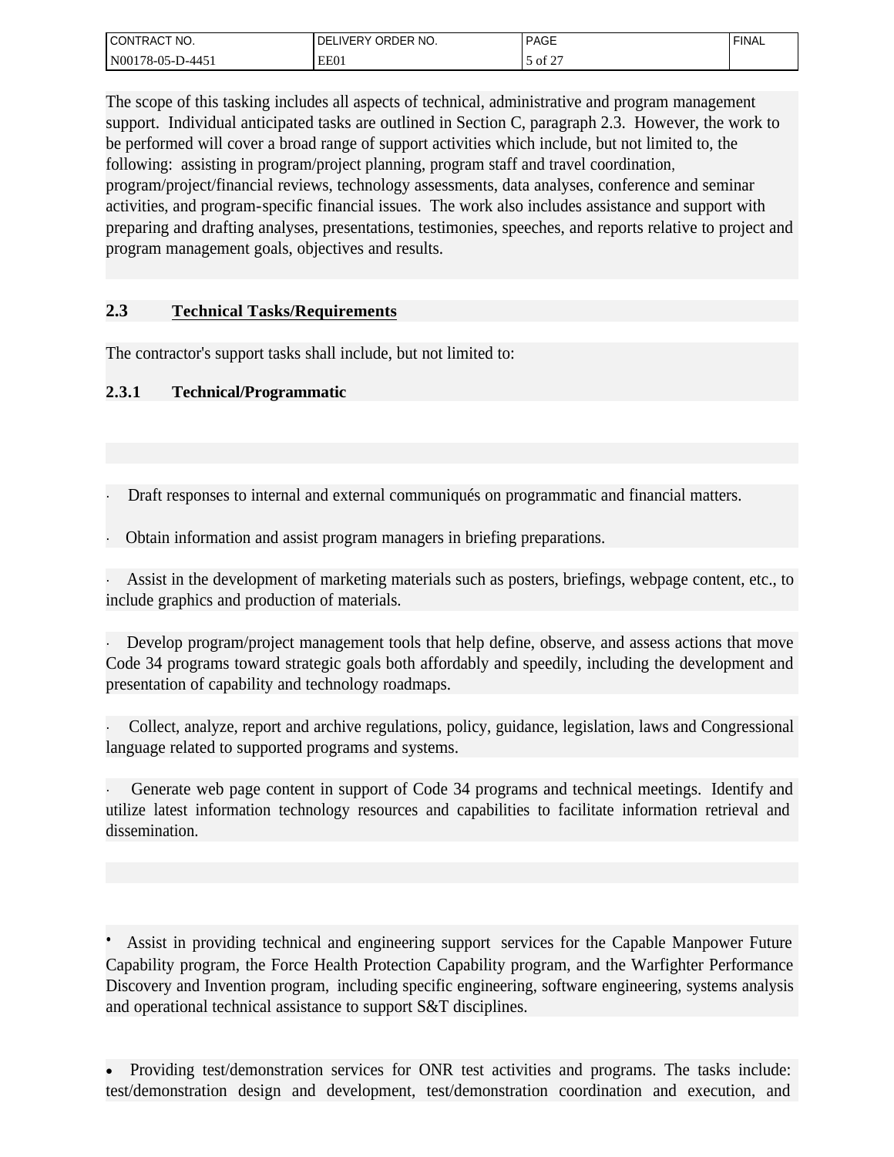| l CONTRACT<br>NO.                 | ORDER NO.<br>DE<br>IVER ۲ـ | <b>PAGE</b> | <b>FINAL</b> |
|-----------------------------------|----------------------------|-------------|--------------|
| N001<br>$-4451$<br>$1/8 - 05 - P$ | EE01                       | of 2        |              |

The scope of this tasking includes all aspects of technical, administrative and program management support. Individual anticipated tasks are outlined in Section C, paragraph 2.3. However, the work to be performed will cover a broad range of support activities which include, but not limited to, the following: assisting in program/project planning, program staff and travel coordination, program/project/financial reviews, technology assessments, data analyses, conference and seminar activities, and program-specific financial issues. The work also includes assistance and support with preparing and drafting analyses, presentations, testimonies, speeches, and reports relative to project and program management goals, objectives and results.

# **2.3 Technical Tasks/Requirements**

The contractor's support tasks shall include, but not limited to:

# **2.3.1 Technical/Programmatic**

- · Draft responses to internal and external communiqués on programmatic and financial matters.
- · Obtain information and assist program managers in briefing preparations.

· Assist in the development of marketing materials such as posters, briefings, webpage content, etc., to include graphics and production of materials.

· Develop program/project management tools that help define, observe, and assess actions that move Code 34 programs toward strategic goals both affordably and speedily, including the development and presentation of capability and technology roadmaps.

Collect, analyze, report and archive regulations, policy, guidance, legislation, laws and Congressional language related to supported programs and systems.

Generate web page content in support of Code 34 programs and technical meetings. Identify and utilize latest information technology resources and capabilities to facilitate information retrieval and dissemination.

**·** Assist in providing technical and engineering support services for the Capable Manpower Future Capability program, the Force Health Protection Capability program, and the Warfighter Performance Discovery and Invention program, including specific engineering, software engineering, systems analysis and operational technical assistance to support S&T disciplines.

<sup>·</sup> Providing test/demonstration services for ONR test activities and programs. The tasks include: test/demonstration design and development, test/demonstration coordination and execution, and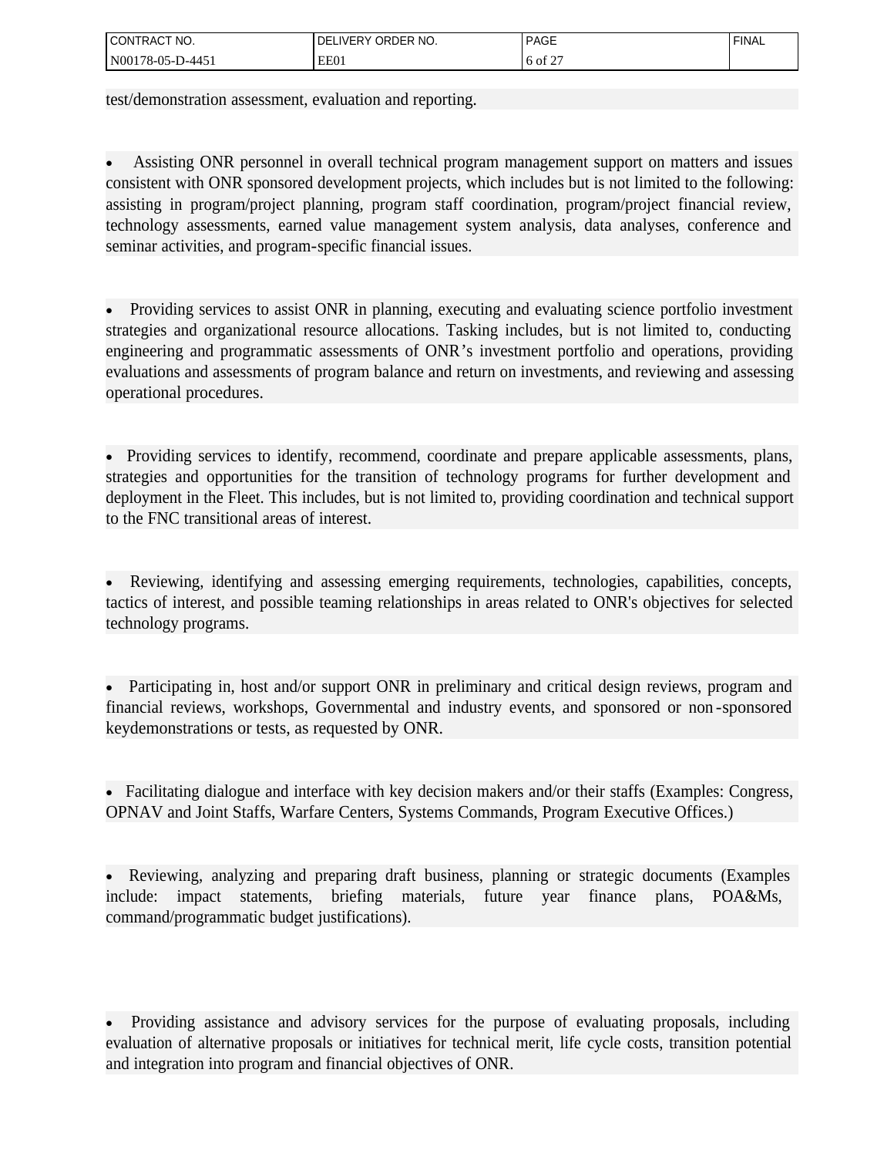| l CONTRACT<br>NO.                            | ORDER NO.<br>DE<br>IVF<br>-<br>- | <b>PAGE</b><br>___   | <b>FINAL</b> |
|----------------------------------------------|----------------------------------|----------------------|--------------|
| N001<br>$1 - 445$ <sup>1</sup><br>$178-05-L$ | EE01                             | $c \Delta$<br>6 of 2 |              |

test/demonstration assessment, evaluation and reporting*.*

· Assisting ONR personnel in overall technical program management support on matters and issues consistent with ONR sponsored development projects, which includes but is not limited to the following: assisting in program/project planning, program staff coordination, program/project financial review, technology assessments, earned value management system analysis, data analyses, conference and seminar activities, and program-specific financial issues.

• Providing services to assist ONR in planning, executing and evaluating science portfolio investment strategies and organizational resource allocations. Tasking includes, but is not limited to, conducting engineering and programmatic assessments of ONR's investment portfolio and operations, providing evaluations and assessments of program balance and return on investments, and reviewing and assessing operational procedures.

• Providing services to identify, recommend, coordinate and prepare applicable assessments, plans, strategies and opportunities for the transition of technology programs for further development and deployment in the Fleet. This includes, but is not limited to, providing coordination and technical support to the FNC transitional areas of interest.

· Reviewing, identifying and assessing emerging requirements, technologies, capabilities, concepts, tactics of interest, and possible teaming relationships in areas related to ONR's objectives for selected technology programs.

Participating in, host and/or support ONR in preliminary and critical design reviews, program and financial reviews, workshops, Governmental and industry events, and sponsored or non -sponsored keydemonstrations or tests, as requested by ONR.

· Facilitating dialogue and interface with key decision makers and/or their staffs (Examples: Congress, OPNAV and Joint Staffs, Warfare Centers, Systems Commands, Program Executive Offices.)

· Reviewing, analyzing and preparing draft business, planning or strategic documents (Examples include: impact statements, briefing materials, future year finance plans, POA&Ms, command/programmatic budget justifications).

· Providing assistance and advisory services for the purpose of evaluating proposals, including evaluation of alternative proposals or initiatives for technical merit, life cycle costs, transition potential and integration into program and financial objectives of ONR.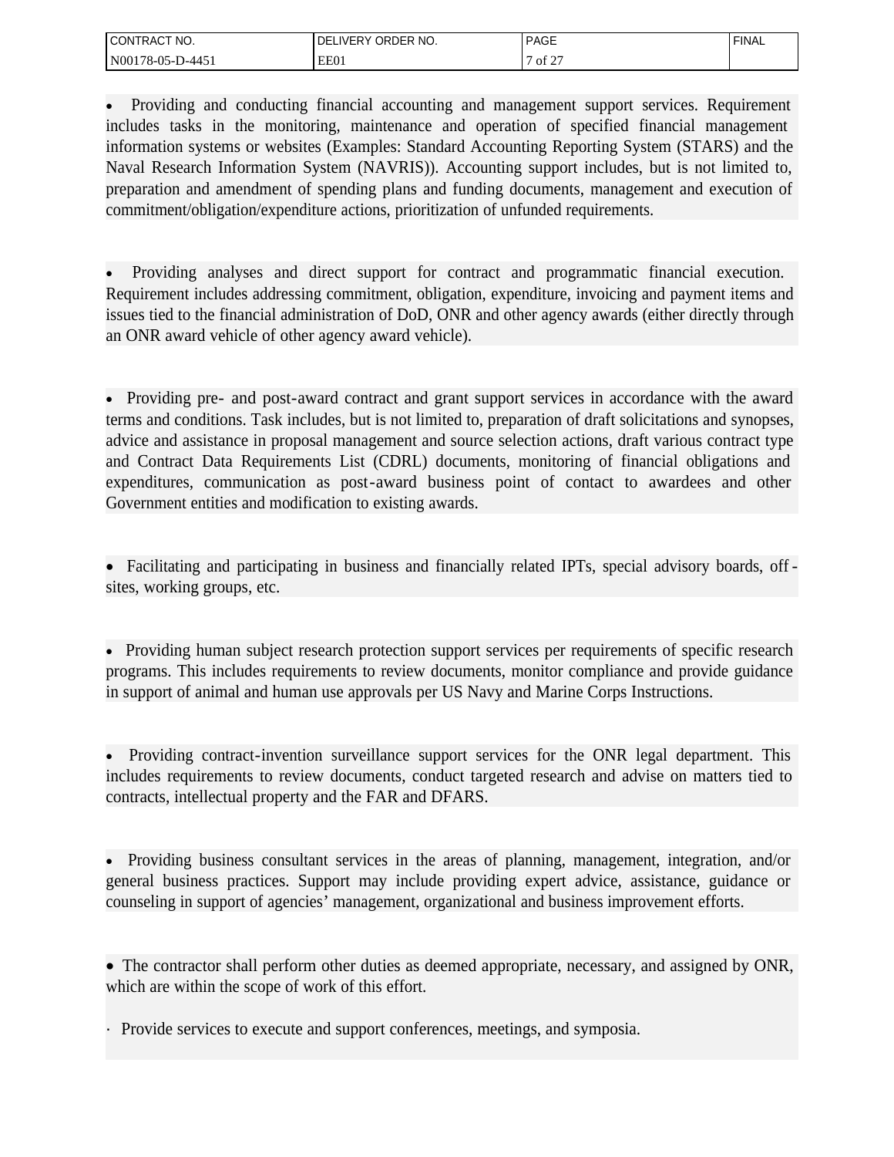| CONTRACT<br>NO.                                   | ORDER NO.<br>DЕ<br>.∟IVER⊻ | <b>PAGE</b>                            | <b>FINAL</b> |
|---------------------------------------------------|----------------------------|----------------------------------------|--------------|
| N001<br>$.1 - 445$<br>$178-0$<br>່ 05-າ<br>______ | EE01                       | $\sim$ $\sim$ $\sim$<br>ΟÌ<br><b>_</b> |              |

· Providing and conducting financial accounting and management support services. Requirement includes tasks in the monitoring, maintenance and operation of specified financial management information systems or websites (Examples: Standard Accounting Reporting System (STARS) and the Naval Research Information System (NAVRIS)). Accounting support includes, but is not limited to, preparation and amendment of spending plans and funding documents, management and execution of commitment/obligation/expenditure actions, prioritization of unfunded requirements.

Providing analyses and direct support for contract and programmatic financial execution. Requirement includes addressing commitment, obligation, expenditure, invoicing and payment items and issues tied to the financial administration of DoD, ONR and other agency awards (either directly through an ONR award vehicle of other agency award vehicle).

· Providing pre- and post-award contract and grant support services in accordance with the award terms and conditions. Task includes, but is not limited to, preparation of draft solicitations and synopses, advice and assistance in proposal management and source selection actions, draft various contract type and Contract Data Requirements List (CDRL) documents, monitoring of financial obligations and expenditures, communication as post-award business point of contact to awardees and other Government entities and modification to existing awards.

• Facilitating and participating in business and financially related IPTs, special advisory boards, offsites, working groups, etc.

· Providing human subject research protection support services per requirements of specific research programs. This includes requirements to review documents, monitor compliance and provide guidance in support of animal and human use approvals per US Navy and Marine Corps Instructions.

• Providing contract-invention surveillance support services for the ONR legal department. This includes requirements to review documents, conduct targeted research and advise on matters tied to contracts, intellectual property and the FAR and DFARS.

· Providing business consultant services in the areas of planning, management, integration, and/or general business practices. Support may include providing expert advice, assistance, guidance or counseling in support of agencies' management, organizational and business improvement efforts.

· The contractor shall perform other duties as deemed appropriate, necessary, and assigned by ONR, which are within the scope of work of this effort.

· Provide services to execute and support conferences, meetings, and symposia.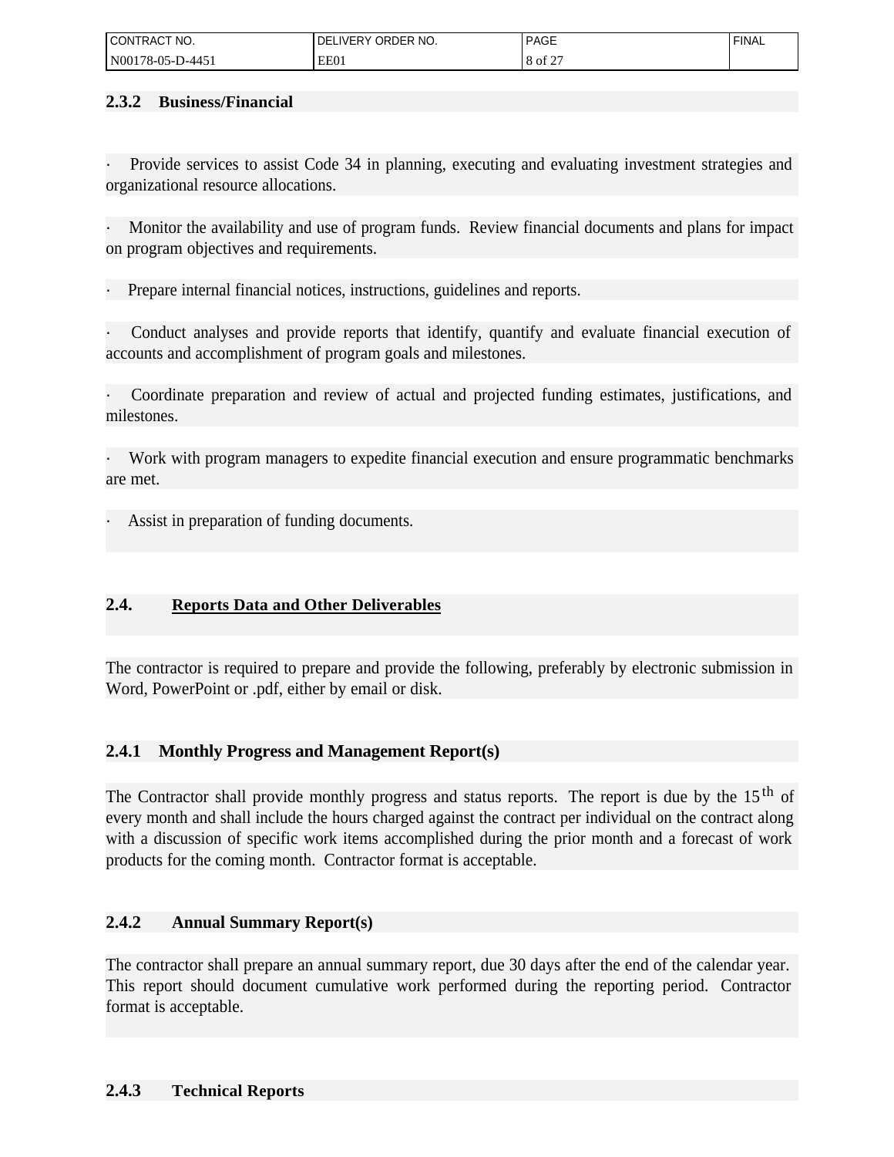| I CONTRACT NO.              | ORDER NO.<br>∟IVERY<br>DЕ | <b>PAGE</b> | <b>FINAL</b> |
|-----------------------------|---------------------------|-------------|--------------|
| N001<br>D-4451.<br>178-05-L | EE01                      | 8 of        |              |

### **2.3.2 Business/Financial**

Provide services to assist Code 34 in planning, executing and evaluating investment strategies and organizational resource allocations.

Monitor the availability and use of program funds. Review financial documents and plans for impact on program objectives and requirements.

Prepare internal financial notices, instructions, guidelines and reports.

Conduct analyses and provide reports that identify, quantify and evaluate financial execution of accounts and accomplishment of program goals and milestones.

· Coordinate preparation and review of actual and projected funding estimates, justifications, and milestones.

· Work with program managers to expedite financial execution and ensure programmatic benchmarks are met.

Assist in preparation of funding documents.

# **2.4. Reports Data and Other Deliverables**

The contractor is required to prepare and provide the following, preferably by electronic submission in Word, PowerPoint or .pdf, either by email or disk.

# **2.4.1 Monthly Progress and Management Report(s)**

The Contractor shall provide monthly progress and status reports. The report is due by the 15<sup>th</sup> of every month and shall include the hours charged against the contract per individual on the contract along with a discussion of specific work items accomplished during the prior month and a forecast of work products for the coming month. Contractor format is acceptable.

### **2.4.2 Annual Summary Report(s)**

The contractor shall prepare an annual summary report, due 30 days after the end of the calendar year. This report should document cumulative work performed during the reporting period. Contractor format is acceptable.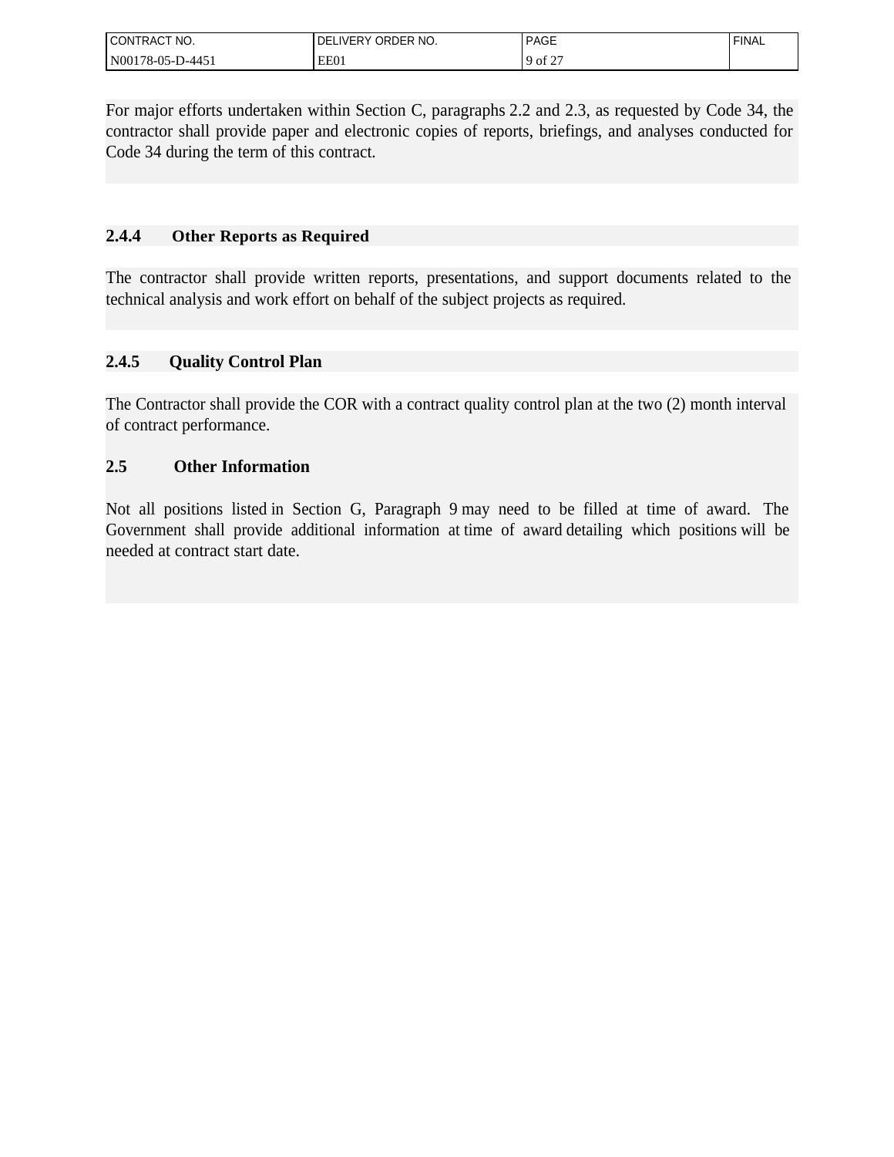| l CONTRACT<br>CT NO.       | ORDER NO.<br>DE<br>.∟IVER≚ | <b>PAGE</b>                    | <b>FINAL</b> |
|----------------------------|----------------------------|--------------------------------|--------------|
| l N00178-05-L<br>$1 - 445$ | EE01                       | $\frac{19 \text{ of } 2.1}{2}$ |              |

For major efforts undertaken within Section C, paragraphs 2.2 and 2.3, as requested by Code 34, the contractor shall provide paper and electronic copies of reports, briefings, and analyses conducted for Code 34 during the term of this contract.

# **2.4.4 Other Reports as Required**

The contractor shall provide written reports, presentations, and support documents related to the technical analysis and work effort on behalf of the subject projects as required.

# **2.4.5 Quality Control Plan**

The Contractor shall provide the COR with a contract quality control plan at the two (2) month interval of contract performance.

# **2.5 Other Information**

Not all positions listed in Section G, Paragraph 9 may need to be filled at time of award. The Government shall provide additional information at time of award detailing which positions will be needed at contract start date.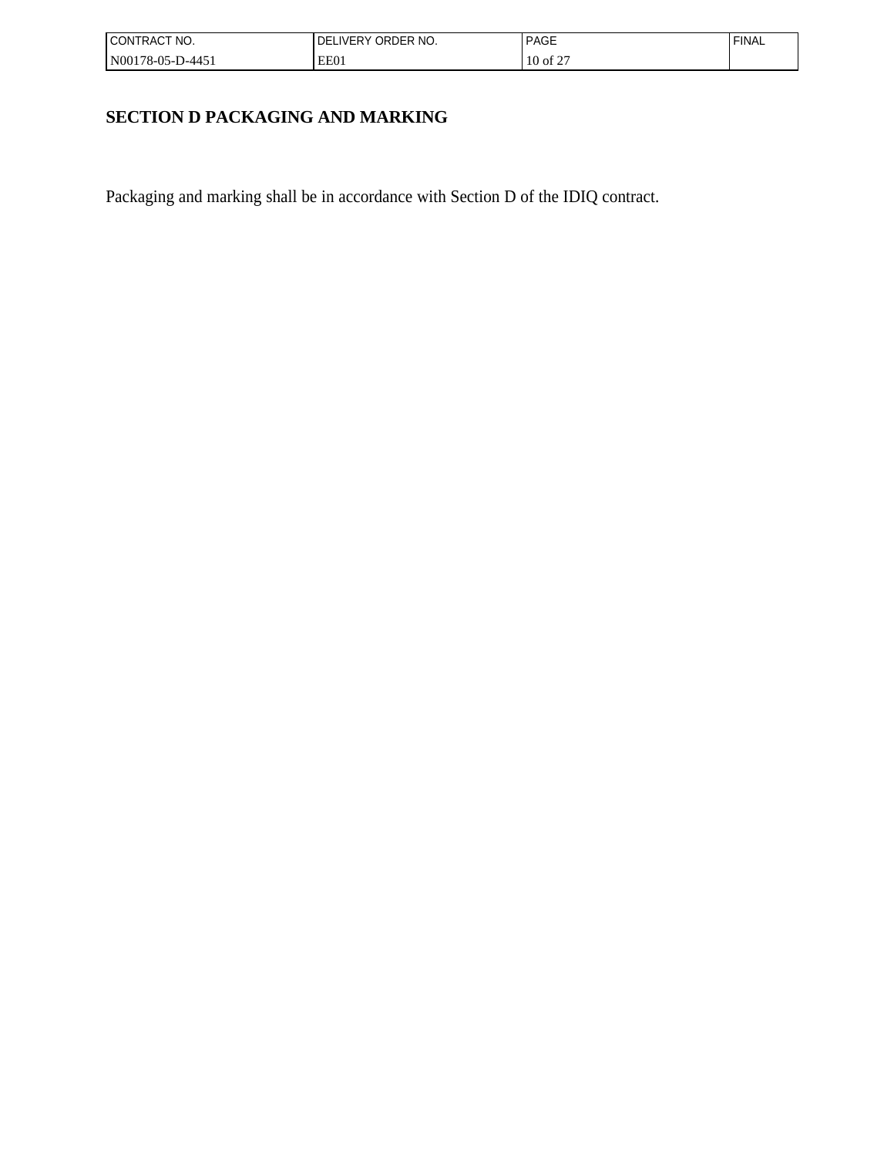| I CONTRACT NO.   | ORDER NO.<br>LIVERY<br>DEI | <b>PAGE</b>                         | <b>FINAL</b> |
|------------------|----------------------------|-------------------------------------|--------------|
| N00178-05-D-4451 | EE01                       | $c \Delta r$<br>$10$ of $2^{\circ}$ |              |

# **SECTION D PACKAGING AND MARKING**

Packaging and marking shall be in accordance with Section D of the IDIQ contract.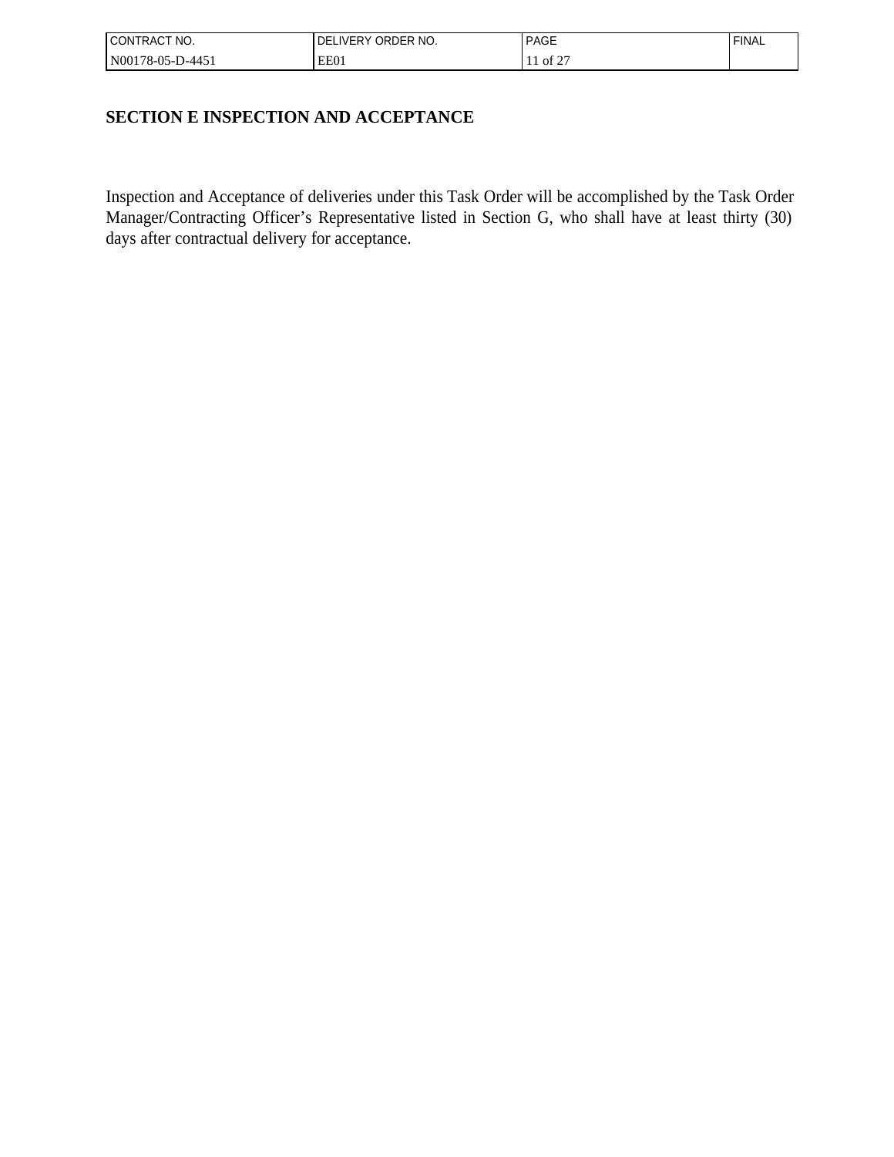| I CONTRACT NO.   | ORDER NO.<br><b>LIVERY</b><br>DEI | <b>PAGE</b>      | <b>FINAL</b> |
|------------------|-----------------------------------|------------------|--------------|
| N00178-05-D-445! | EE01                              | of $2^{\degree}$ |              |

# **SECTION E INSPECTION AND ACCEPTANCE**

Inspection and Acceptance of deliveries under this Task Order will be accomplished by the Task Order Manager/Contracting Officer's Representative listed in Section G, who shall have at least thirty (30) days after contractual delivery for acceptance.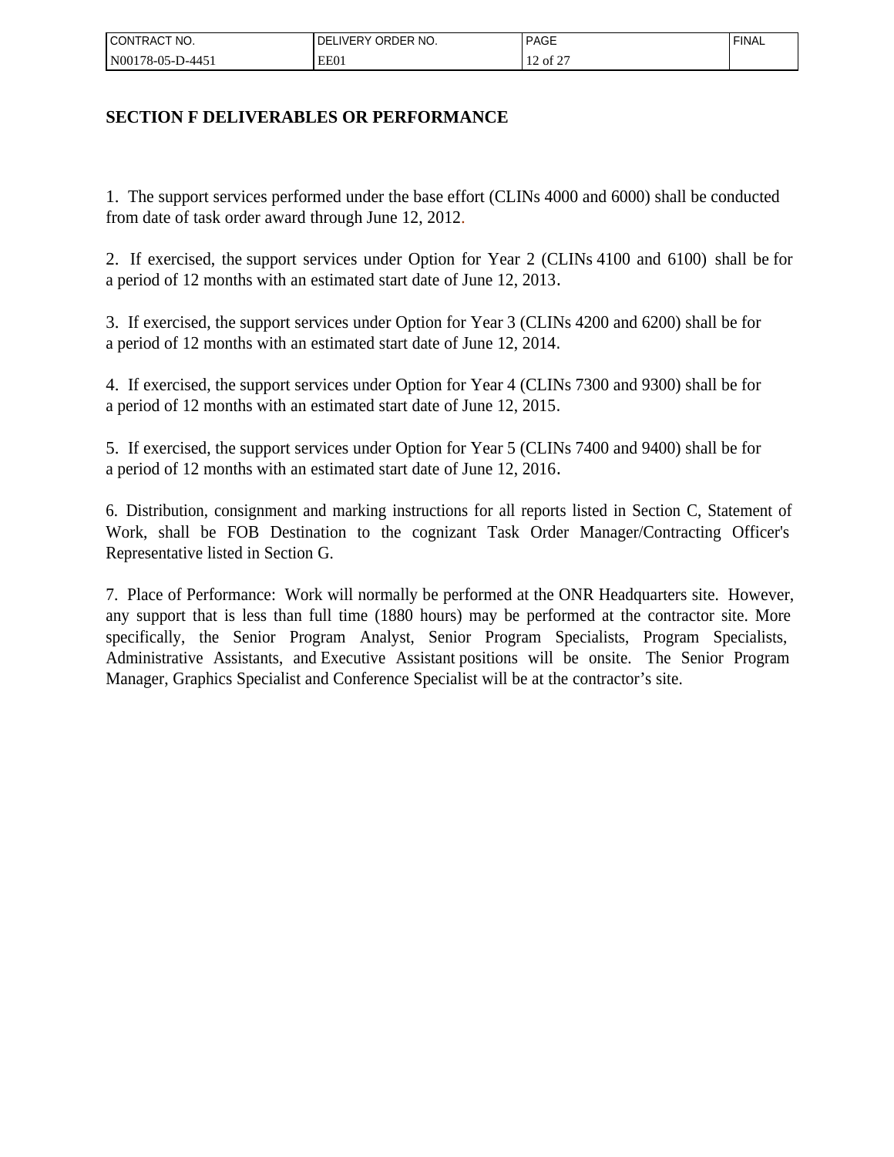| I CONTRACT NO.   | ORDER NO.<br>_IVERY<br>DEI | PAGE                                           | 'FINAL |
|------------------|----------------------------|------------------------------------------------|--------|
| N00178-05-D-445! | EE01                       | $\sim$ $\sim$ $\sim$<br>of 2<br>$\overline{1}$ |        |

# **SECTION F DELIVERABLES OR PERFORMANCE**

1. The support services performed under the base effort (CLINs 4000 and 6000) shall be conducted from date of task order award through June 12, 2012.

2. If exercised, the support services under Option for Year 2 (CLINs 4100 and 6100) shall be for a period of 12 months with an estimated start date of June 12, 2013.

3. If exercised, the support services under Option for Year 3 (CLINs 4200 and 6200) shall be for a period of 12 months with an estimated start date of June 12, 2014.

4. If exercised, the support services under Option for Year 4 (CLINs 7300 and 9300) shall be for a period of 12 months with an estimated start date of June 12, 2015.

5. If exercised, the support services under Option for Year 5 (CLINs 7400 and 9400) shall be for a period of 12 months with an estimated start date of June 12, 2016.

6. Distribution, consignment and marking instructions for all reports listed in Section C, Statement of Work, shall be FOB Destination to the cognizant Task Order Manager/Contracting Officer's Representative listed in Section G.

7. Place of Performance: Work will normally be performed at the ONR Headquarters site. However, any support that is less than full time (1880 hours) may be performed at the contractor site. More specifically, the Senior Program Analyst, Senior Program Specialists, Program Specialists, Administrative Assistants, and Executive Assistant positions will be onsite. The Senior Program Manager, Graphics Specialist and Conference Specialist will be at the contractor's site.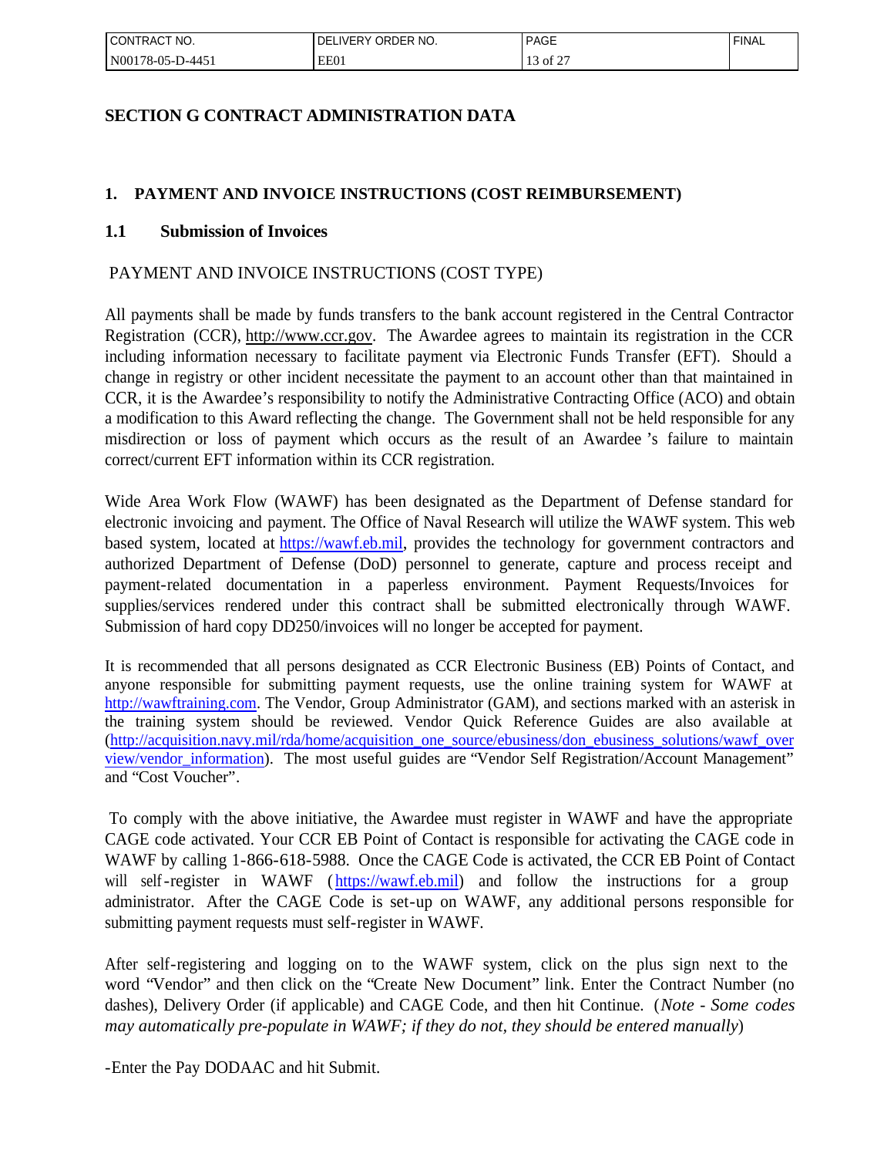| l CONTRACT<br>" NO.                             | ORDER NO.<br><b>IVERY</b><br>⊣ر, | PAGE<br>___       | ' FINAL |
|-------------------------------------------------|----------------------------------|-------------------|---------|
| N001′<br>$.1 - 445$<br>$16-05$ -D <sup>-1</sup> | EE01                             | $-$<br>of 2<br>⊥⊃ |         |

# **SECTION G CONTRACT ADMINISTRATION DATA**

# **1. PAYMENT AND INVOICE INSTRUCTIONS (COST REIMBURSEMENT)**

### **1.1 Submission of Invoices**

### PAYMENT AND INVOICE INSTRUCTIONS (COST TYPE)

All payments shall be made by funds transfers to the bank account registered in the Central Contractor Registration (CCR), http://www.ccr.gov. The Awardee agrees to maintain its registration in the CCR including information necessary to facilitate payment via Electronic Funds Transfer (EFT). Should a change in registry or other incident necessitate the payment to an account other than that maintained in CCR, it is the Awardee's responsibility to notify the Administrative Contracting Office (ACO) and obtain a modification to this Award reflecting the change. The Government shall not be held responsible for any misdirection or loss of payment which occurs as the result of an Awardee 's failure to maintain correct/current EFT information within its CCR registration.

Wide Area Work Flow (WAWF) has been designated as the Department of Defense standard for electronic invoicing and payment. The Office of Naval Research will utilize the WAWF system. This web based system, located at [https://wawf.eb.mil](https://wawf.eb.mil/), provides the technology for government contractors and authorized Department of Defense (DoD) personnel to generate, capture and process receipt and payment-related documentation in a paperless environment. Payment Requests/Invoices for supplies/services rendered under this contract shall be submitted electronically through WAWF. Submission of hard copy DD250/invoices will no longer be accepted for payment.

It is recommended that all persons designated as CCR Electronic Business (EB) Points of Contact, and anyone responsible for submitting payment requests, use the online training system for WAWF at [http://wawftraining.com.](http://wawftraining.com/) The Vendor, Group Administrator (GAM), and sections marked with an asterisk in the training system should be reviewed. Vendor Quick Reference Guides are also available at ([http://acquisition.navy.mil/rda/home/acquisition\\_one\\_source/ebusiness/don\\_ebusiness\\_solutions/wawf\\_over](http://acquisition.navy.mil/rda/home/acquisition_one_source/ebusiness/don_ebusiness_solutions/wawf_overview/vendor_information) [view/vendor\\_information](http://acquisition.navy.mil/rda/home/acquisition_one_source/ebusiness/don_ebusiness_solutions/wawf_overview/vendor_information)). The most useful guides are "Vendor Self Registration/Account Management" and "Cost Voucher".

To comply with the above initiative, the Awardee must register in WAWF and have the appropriate CAGE code activated. Your CCR EB Point of Contact is responsible for activating the CAGE code in WAWF by calling 1-866-618-5988. Once the CAGE Code is activated, the CCR EB Point of Contact will self-register in WAWF ([https://wawf.eb.mil](https://wawf.eb.mil/)) and follow the instructions for a group administrator. After the CAGE Code is set-up on WAWF, any additional persons responsible for submitting payment requests must self-register in WAWF.

After self-registering and logging on to the WAWF system, click on the plus sign next to the word "Vendor" and then click on the "Create New Document" link. Enter the Contract Number (no dashes), Delivery Order (if applicable) and CAGE Code, and then hit Continue. (*Note - Some codes may automatically pre-populate in WAWF; if they do not, they should be entered manually*)

-Enter the Pay DODAAC and hit Submit.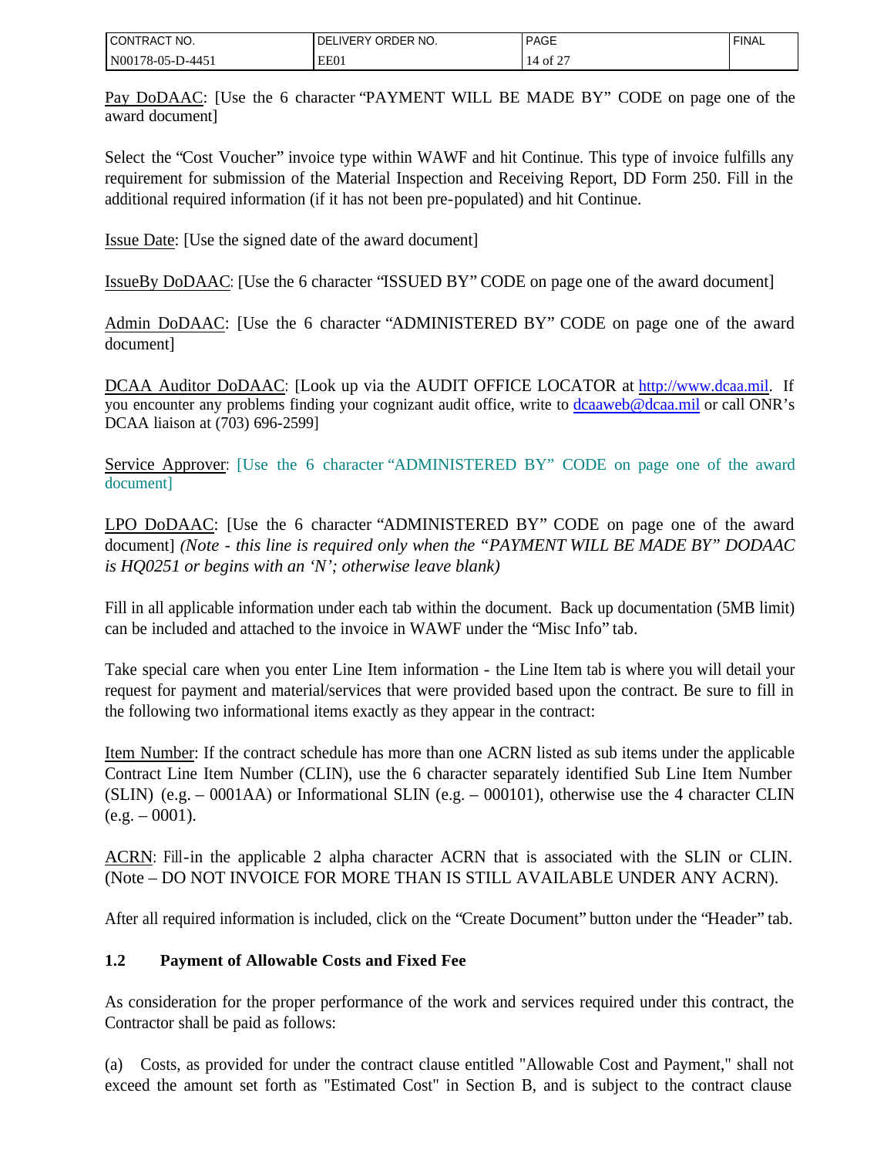| CT NO.<br><b>CONTRACT</b> | ORDER NO.<br>LIVERY<br>DЕ | <b>PAGE</b>       | <b>FINAL</b> |
|---------------------------|---------------------------|-------------------|--------------|
| N00178-05-L<br>.D-445     | EE0.                      | $\sim$<br>ΟĪ<br>∼ |              |

Pay DoDAAC: [Use the 6 character "PAYMENT WILL BE MADE BY" CODE on page one of the award document]

Select the "Cost Voucher" invoice type within WAWF and hit Continue. This type of invoice fulfills any requirement for submission of the Material Inspection and Receiving Report, DD Form 250. Fill in the additional required information (if it has not been pre-populated) and hit Continue.

Issue Date: [Use the signed date of the award document]

IssueBy DoDAAC: [Use the 6 character "ISSUED BY" CODE on page one of the award document]

Admin DoDAAC: [Use the 6 character "ADMINISTERED BY" CODE on page one of the award document]

DCAA Auditor DoDAAC: [Look up via the AUDIT OFFICE LOCATOR at http://www.dcaa.mil. If you encounter any problems finding your cognizant audit office, write to [dcaaweb@dcaa.mil](mailto:dcaaweb@dcaa.mil) or call ONR's DCAA liaison at (703) 696-2599]

Service Approver: [Use the 6 character "ADMINISTERED BY" CODE on page one of the award document]

LPO DoDAAC: [Use the 6 character "ADMINISTERED BY" CODE on page one of the award document] *(Note - this line is required only when the "PAYMENT WILL BE MADE BY" DODAAC is HQ0251 or begins with an 'N'; otherwise leave blank)* 

Fill in all applicable information under each tab within the document. Back up documentation (5MB limit) can be included and attached to the invoice in WAWF under the "Misc Info" tab.

Take special care when you enter Line Item information - the Line Item tab is where you will detail your request for payment and material/services that were provided based upon the contract. Be sure to fill in the following two informational items exactly as they appear in the contract:

Item Number: If the contract schedule has more than one ACRN listed as sub items under the applicable Contract Line Item Number (CLIN), use the 6 character separately identified Sub Line Item Number (SLIN) (e.g. – 0001AA) or Informational SLIN (e.g. – 000101), otherwise use the 4 character CLIN  $(e.g. - 0001).$ 

ACRN: Fill-in the applicable 2 alpha character ACRN that is associated with the SLIN or CLIN. (Note – DO NOT INVOICE FOR MORE THAN IS STILL AVAILABLE UNDER ANY ACRN).

After all required information is included, click on the "Create Document" button under the "Header" tab.

### **1.2 Payment of Allowable Costs and Fixed Fee**

As consideration for the proper performance of the work and services required under this contract, the Contractor shall be paid as follows:

(a) Costs, as provided for under the contract clause entitled "Allowable Cost and Payment," shall not exceed the amount set forth as "Estimated Cost" in Section B, and is subject to the contract clause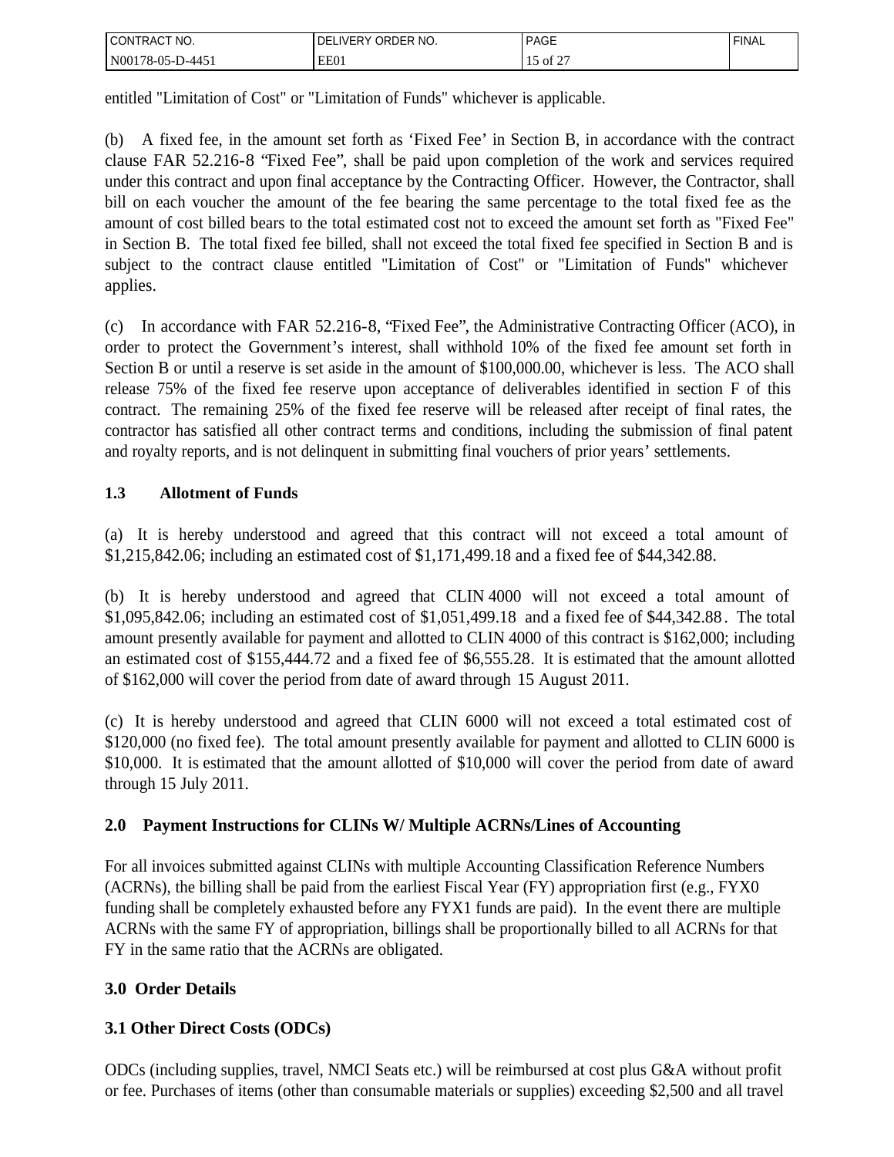| CONTRACT<br>'NO.                              | ORDER NO.<br>.∨FR⊻<br>J۲ | <b>PAGE</b>                                           | <b>FINAL</b> |
|-----------------------------------------------|--------------------------|-------------------------------------------------------|--------------|
| N001<br>$-445$ <sup>+</sup><br>78-0.<br>_____ | EE01                     | ОĪ<br><u>_</u><br>the contract of the contract of the |              |

entitled "Limitation of Cost" or "Limitation of Funds" whichever is applicable.

(b) A fixed fee, in the amount set forth as 'Fixed Fee' in Section B, in accordance with the contract clause FAR 52.216-8 "Fixed Fee", shall be paid upon completion of the work and services required under this contract and upon final acceptance by the Contracting Officer. However, the Contractor, shall bill on each voucher the amount of the fee bearing the same percentage to the total fixed fee as the amount of cost billed bears to the total estimated cost not to exceed the amount set forth as "Fixed Fee" in Section B. The total fixed fee billed, shall not exceed the total fixed fee specified in Section B and is subject to the contract clause entitled "Limitation of Cost" or "Limitation of Funds" whichever applies.

(c) In accordance with FAR 52.216-8, "Fixed Fee", the Administrative Contracting Officer (ACO), in order to protect the Government's interest, shall withhold 10% of the fixed fee amount set forth in Section B or until a reserve is set aside in the amount of \$100,000.00, whichever is less. The ACO shall release 75% of the fixed fee reserve upon acceptance of deliverables identified in section F of this contract. The remaining 25% of the fixed fee reserve will be released after receipt of final rates, the contractor has satisfied all other contract terms and conditions, including the submission of final patent and royalty reports, and is not delinquent in submitting final vouchers of prior years' settlements.

# **1.3 Allotment of Funds**

(a) It is hereby understood and agreed that this contract will not exceed a total amount of \$1,215,842.06; including an estimated cost of \$1,171,499.18 and a fixed fee of \$44,342.88.

(b) It is hereby understood and agreed that CLIN 4000 will not exceed a total amount of \$1,095,842.06; including an estimated cost of \$1,051,499.18 and a fixed fee of \$44,342.88 . The total amount presently available for payment and allotted to CLIN 4000 of this contract is \$162,000; including an estimated cost of \$155,444.72 and a fixed fee of \$6,555.28. It is estimated that the amount allotted of \$162,000 will cover the period from date of award through 15 August 2011.

(c) It is hereby understood and agreed that CLIN 6000 will not exceed a total estimated cost of \$120,000 (no fixed fee). The total amount presently available for payment and allotted to CLIN 6000 is \$10,000. It is estimated that the amount allotted of \$10,000 will cover the period from date of award through 15 July 2011.

# **2.0 Payment Instructions for CLINs W/ Multiple ACRNs/Lines of Accounting**

For all invoices submitted against CLINs with multiple Accounting Classification Reference Numbers (ACRNs), the billing shall be paid from the earliest Fiscal Year (FY) appropriation first (e.g., FYX0 funding shall be completely exhausted before any FYX1 funds are paid). In the event there are multiple ACRNs with the same FY of appropriation, billings shall be proportionally billed to all ACRNs for that FY in the same ratio that the ACRNs are obligated.

# **3.0 Order Details**

# **3.1 Other Direct Costs (ODCs)**

ODCs (including supplies, travel, NMCI Seats etc.) will be reimbursed at cost plus G&A without profit or fee. Purchases of items (other than consumable materials or supplies) exceeding \$2,500 and all travel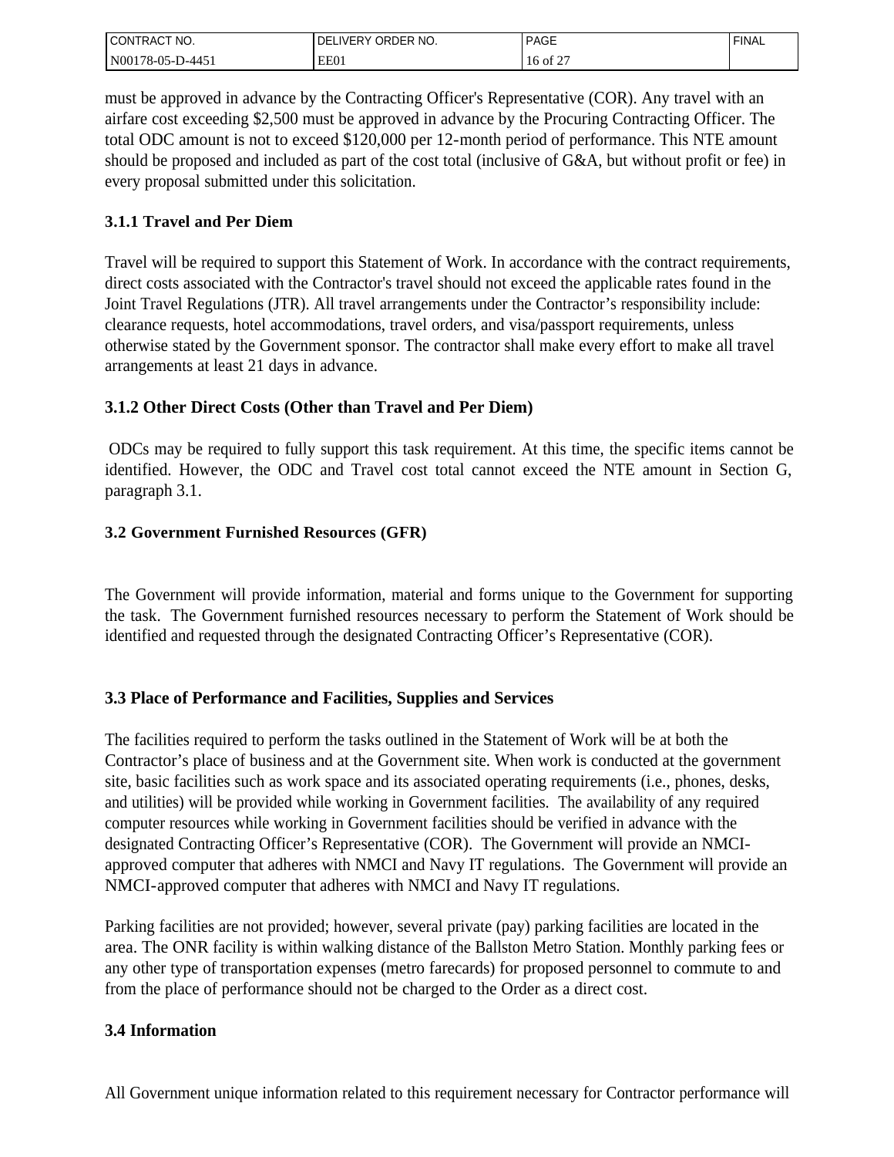| CT NO.<br>CONTRAC <sub>1</sub>                | ORDER NO.<br><b>NERY</b><br>DF | <b>PAGE</b>        | <b>FINAL</b> |
|-----------------------------------------------|--------------------------------|--------------------|--------------|
| 'N00178<br>$1 - 445$<br>/8-05-F<br>$\sqrt{ }$ | EE01                           | $\sim$<br>16 of 2. |              |

must be approved in advance by the Contracting Officer's Representative (COR). Any travel with an airfare cost exceeding \$2,500 must be approved in advance by the Procuring Contracting Officer. The total ODC amount is not to exceed \$120,000 per 12-month period of performance. This NTE amount should be proposed and included as part of the cost total (inclusive of G&A, but without profit or fee) in every proposal submitted under this solicitation.

# **3.1.1 Travel and Per Diem**

Travel will be required to support this Statement of Work. In accordance with the contract requirements, direct costs associated with the Contractor's travel should not exceed the applicable rates found in the Joint Travel Regulations (JTR). All travel arrangements under the Contractor's responsibility include: clearance requests, hotel accommodations, travel orders, and visa/passport requirements, unless otherwise stated by the Government sponsor. The contractor shall make every effort to make all travel arrangements at least 21 days in advance.

# **3.1.2 Other Direct Costs (Other than Travel and Per Diem)**

 ODCs may be required to fully support this task requirement. At this time, the specific items cannot be identified. However, the ODC and Travel cost total cannot exceed the NTE amount in Section G, paragraph 3.1.

# **3.2 Government Furnished Resources (GFR)**

The Government will provide information, material and forms unique to the Government for supporting the task. The Government furnished resources necessary to perform the Statement of Work should be identified and requested through the designated Contracting Officer's Representative (COR).

# **3.3 Place of Performance and Facilities, Supplies and Services**

The facilities required to perform the tasks outlined in the Statement of Work will be at both the Contractor's place of business and at the Government site. When work is conducted at the government site, basic facilities such as work space and its associated operating requirements (i.e., phones, desks, and utilities) will be provided while working in Government facilities. The availability of any required computer resources while working in Government facilities should be verified in advance with the designated Contracting Officer's Representative (COR). The Government will provide an NMCIapproved computer that adheres with NMCI and Navy IT regulations. The Government will provide an NMCI-approved computer that adheres with NMCI and Navy IT regulations.

Parking facilities are not provided; however, several private (pay) parking facilities are located in the area. The ONR facility is within walking distance of the Ballston Metro Station. Monthly parking fees or any other type of transportation expenses (metro farecards) for proposed personnel to commute to and from the place of performance should not be charged to the Order as a direct cost.

# **3.4 Information**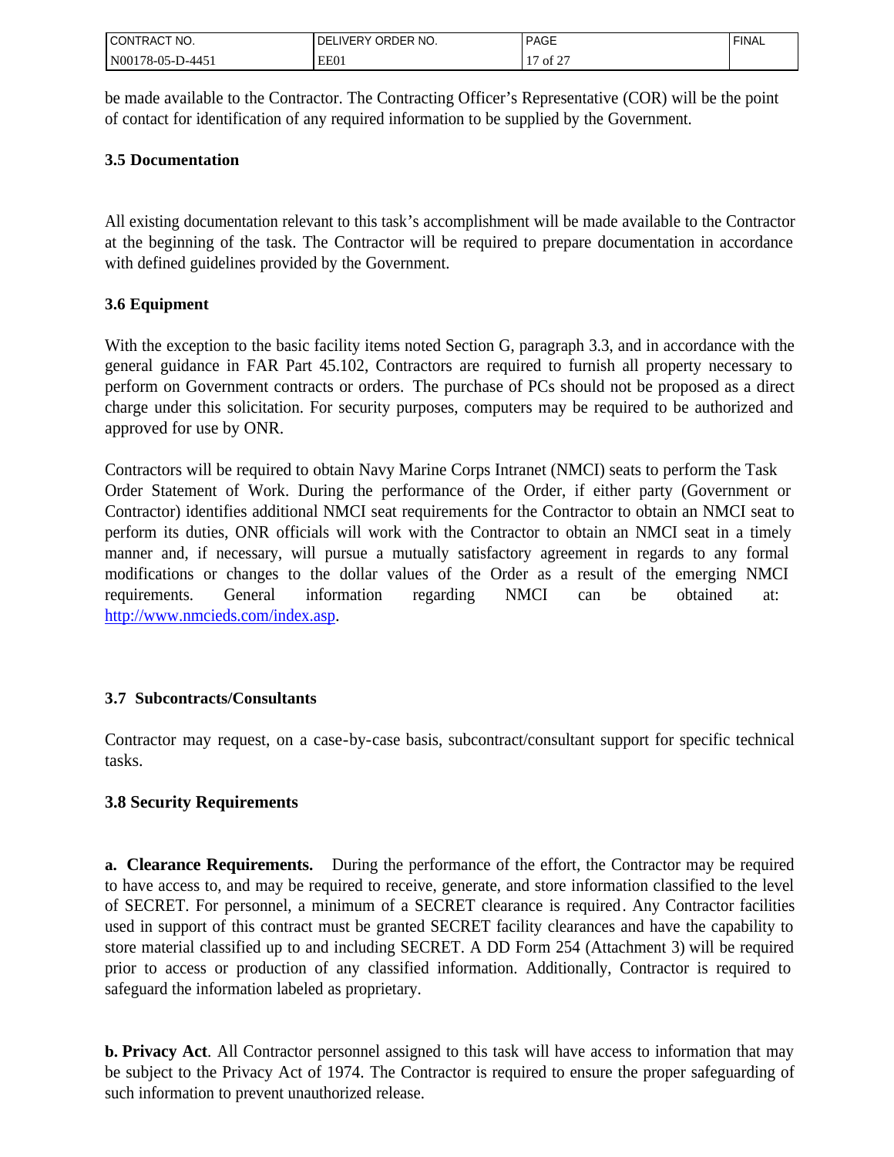| CONTRACT<br>NO.                | ORDER NO.<br>IVERY<br>υF | <b>PAGE</b>                                              | <b>FINAL</b> |
|--------------------------------|--------------------------|----------------------------------------------------------|--------------|
| N001<br>$1 - 445$<br>' 78-05-1 | EE01                     | $\sim$ $\sim$ $\sim$<br>$\overline{\phantom{0}}$<br>of 2 |              |

be made available to the Contractor. The Contracting Officer's Representative (COR) will be the point of contact for identification of any required information to be supplied by the Government.

### **3.5 Documentation**

All existing documentation relevant to this task's accomplishment will be made available to the Contractor at the beginning of the task. The Contractor will be required to prepare documentation in accordance with defined guidelines provided by the Government.

# **3.6 Equipment**

With the exception to the basic facility items noted Section G, paragraph 3.3, and in accordance with the general guidance in FAR Part 45.102, Contractors are required to furnish all property necessary to perform on Government contracts or orders. The purchase of PCs should not be proposed as a direct charge under this solicitation. For security purposes, computers may be required to be authorized and approved for use by ONR.

Contractors will be required to obtain Navy Marine Corps Intranet (NMCI) seats to perform the Task Order Statement of Work. During the performance of the Order, if either party (Government or Contractor) identifies additional NMCI seat requirements for the Contractor to obtain an NMCI seat to perform its duties, ONR officials will work with the Contractor to obtain an NMCI seat in a timely manner and, if necessary, will pursue a mutually satisfactory agreement in regards to any formal modifications or changes to the dollar values of the Order as a result of the emerging NMCI requirements. General information regarding NMCI can be obtained at: [http://www.nmcieds.com/index.asp.](http://www.nmcieds.com/index.asp)

# **3.7 Subcontracts/Consultants**

Contractor may request, on a case-by-case basis, subcontract/consultant support for specific technical tasks.

# **3.8 Security Requirements**

**a. Clearance Requirements.** During the performance of the effort, the Contractor may be required to have access to, and may be required to receive, generate, and store information classified to the level of SECRET. For personnel, a minimum of a SECRET clearance is required. Any Contractor facilities used in support of this contract must be granted SECRET facility clearances and have the capability to store material classified up to and including SECRET. A DD Form 254 (Attachment 3) will be required prior to access or production of any classified information. Additionally, Contractor is required to safeguard the information labeled as proprietary.

**b. Privacy Act**. All Contractor personnel assigned to this task will have access to information that may be subject to the Privacy Act of 1974. The Contractor is required to ensure the proper safeguarding of such information to prevent unauthorized release.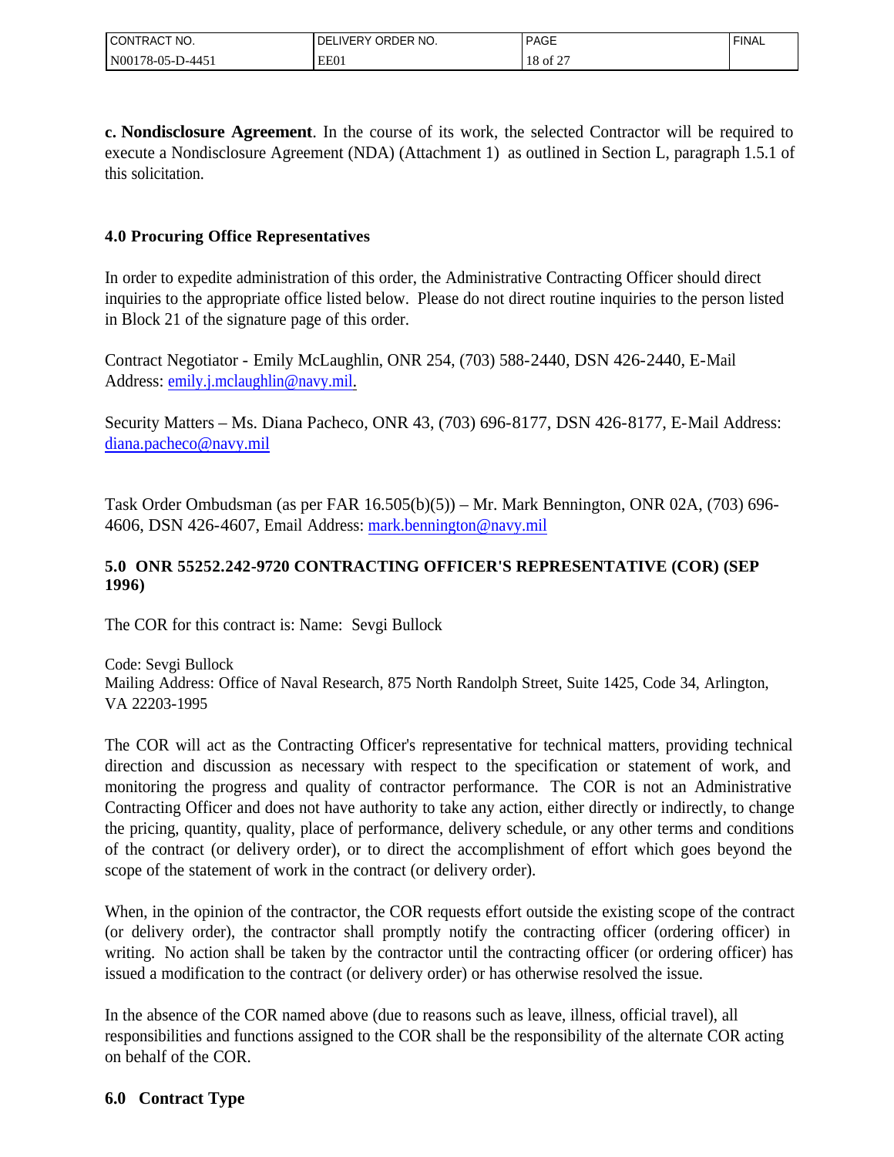| CT NO.<br>'CONTRAC'       | ORDER NO.<br>DЕ<br><b>IVERY</b> | <b>PAGE</b>              | FINAL |
|---------------------------|---------------------------------|--------------------------|-------|
| N00178-05-D-4451<br>_____ | EEO1                            | $\sim$<br>10<br>18 of 2. |       |

**c. Nondisclosure Agreement**. In the course of its work, the selected Contractor will be required to execute a Nondisclosure Agreement (NDA) (Attachment 1) as outlined in Section L, paragraph 1.5.1 of this solicitation.

# **4.0 Procuring Office Representatives**

In order to expedite administration of this order, the Administrative Contracting Officer should direct inquiries to the appropriate office listed below. Please do not direct routine inquiries to the person listed in Block 21 of the signature page of this order.

Contract Negotiator - Emily McLaughlin, ONR 254, (703) 588-2440, DSN 426-2440, E-Mail Address: [emily.j.mclaughlin@navy.mil.](mailto:emily.j.mclaughlin@navy.mil)

Security Matters – Ms. Diana Pacheco, ONR 43, (703) 696-8177, DSN 426-8177, E-Mail Address: [diana.pacheco@navy.mil](mailto:diana.pacheco@navy.mil)

Task Order Ombudsman (as per FAR 16.505(b)(5)) – Mr. Mark Bennington, ONR 02A, (703) 696- 4606, DSN 426-4607, Email Address: mark.bennington@navy.mil

# **5.0 ONR 55252.242-9720 CONTRACTING OFFICER'S REPRESENTATIVE (COR) (SEP 1996)**

The COR for this contract is: Name: Sevgi Bullock

Code: Sevgi Bullock Mailing Address: Office of Naval Research, 875 North Randolph Street, Suite 1425, Code 34, Arlington, VA 22203-1995

The COR will act as the Contracting Officer's representative for technical matters, providing technical direction and discussion as necessary with respect to the specification or statement of work, and monitoring the progress and quality of contractor performance. The COR is not an Administrative Contracting Officer and does not have authority to take any action, either directly or indirectly, to change the pricing, quantity, quality, place of performance, delivery schedule, or any other terms and conditions of the contract (or delivery order), or to direct the accomplishment of effort which goes beyond the scope of the statement of work in the contract (or delivery order).

When, in the opinion of the contractor, the COR requests effort outside the existing scope of the contract (or delivery order), the contractor shall promptly notify the contracting officer (ordering officer) in writing. No action shall be taken by the contractor until the contracting officer (or ordering officer) has issued a modification to the contract (or delivery order) or has otherwise resolved the issue.

In the absence of the COR named above (due to reasons such as leave, illness, official travel), all responsibilities and functions assigned to the COR shall be the responsibility of the alternate COR acting on behalf of the COR.

# **6.0 Contract Type**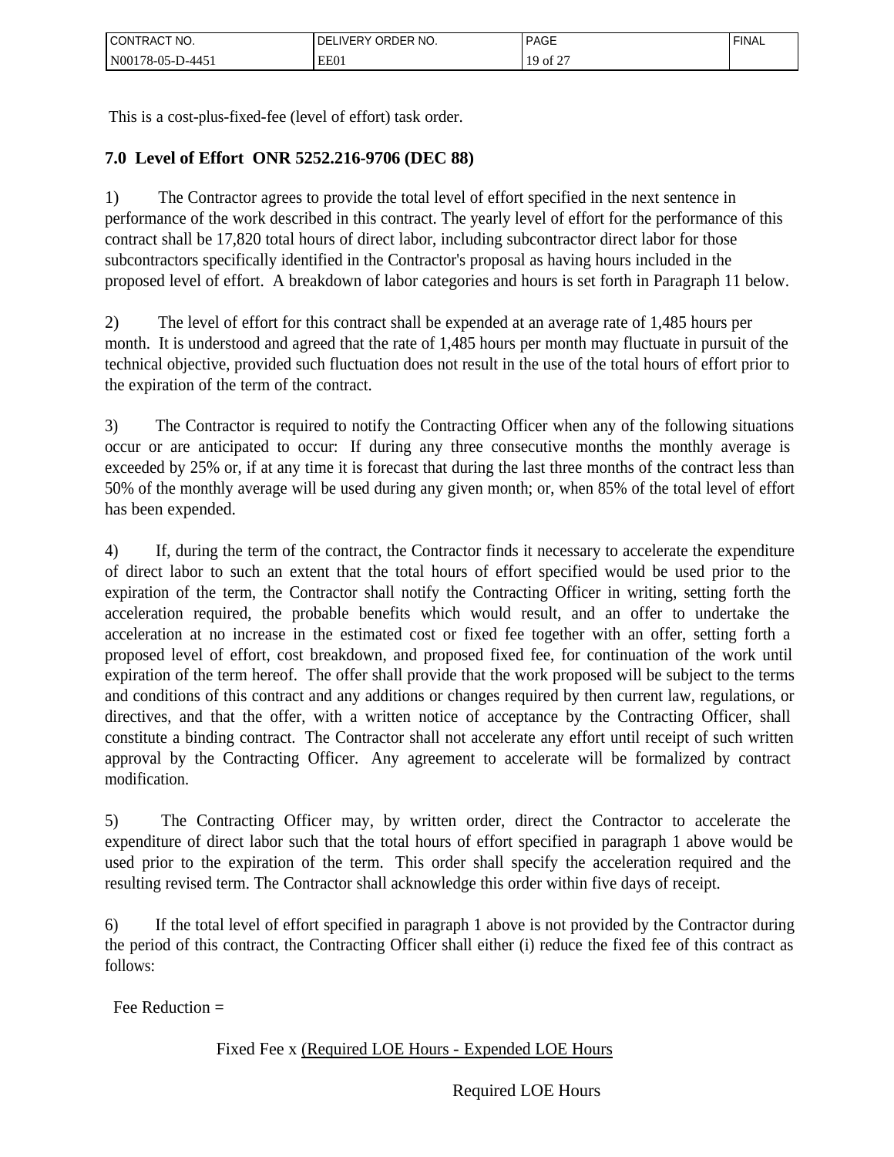| l CONTRACT NO.         | ORDER NO.<br><b>JVERY</b><br>⊣د، | <b>PAGE</b>                                     | <b>FINAL</b> |
|------------------------|----------------------------------|-------------------------------------------------|--------------|
| 'N00178-05-L<br>D-445: | EE01                             | $\sim$ $\sim$ $\sim$<br>19<br>of $\overline{Z}$ |              |

This is a cost-plus-fixed-fee (level of effort) task order.

# **7.0 Level of Effort ONR 5252.216-9706 (DEC 88)**

1) The Contractor agrees to provide the total level of effort specified in the next sentence in performance of the work described in this contract. The yearly level of effort for the performance of this contract shall be 17,820 total hours of direct labor, including subcontractor direct labor for those subcontractors specifically identified in the Contractor's proposal as having hours included in the proposed level of effort. A breakdown of labor categories and hours is set forth in Paragraph 11 below.

2) The level of effort for this contract shall be expended at an average rate of 1,485 hours per month. It is understood and agreed that the rate of 1,485 hours per month may fluctuate in pursuit of the technical objective, provided such fluctuation does not result in the use of the total hours of effort prior to the expiration of the term of the contract.

3) The Contractor is required to notify the Contracting Officer when any of the following situations occur or are anticipated to occur: If during any three consecutive months the monthly average is exceeded by 25% or, if at any time it is forecast that during the last three months of the contract less than 50% of the monthly average will be used during any given month; or, when 85% of the total level of effort has been expended.

4) If, during the term of the contract, the Contractor finds it necessary to accelerate the expenditure of direct labor to such an extent that the total hours of effort specified would be used prior to the expiration of the term, the Contractor shall notify the Contracting Officer in writing, setting forth the acceleration required, the probable benefits which would result, and an offer to undertake the acceleration at no increase in the estimated cost or fixed fee together with an offer, setting forth a proposed level of effort, cost breakdown, and proposed fixed fee, for continuation of the work until expiration of the term hereof. The offer shall provide that the work proposed will be subject to the terms and conditions of this contract and any additions or changes required by then current law, regulations, or directives, and that the offer, with a written notice of acceptance by the Contracting Officer, shall constitute a binding contract. The Contractor shall not accelerate any effort until receipt of such written approval by the Contracting Officer. Any agreement to accelerate will be formalized by contract modification.

5) The Contracting Officer may, by written order, direct the Contractor to accelerate the expenditure of direct labor such that the total hours of effort specified in paragraph 1 above would be used prior to the expiration of the term. This order shall specify the acceleration required and the resulting revised term. The Contractor shall acknowledge this order within five days of receipt.

6) If the total level of effort specified in paragraph 1 above is not provided by the Contractor during the period of this contract, the Contracting Officer shall either (i) reduce the fixed fee of this contract as follows:

Fee Reduction  $=$ 

# Fixed Fee x (Required LOE Hours - Expended LOE Hours

Required LOE Hours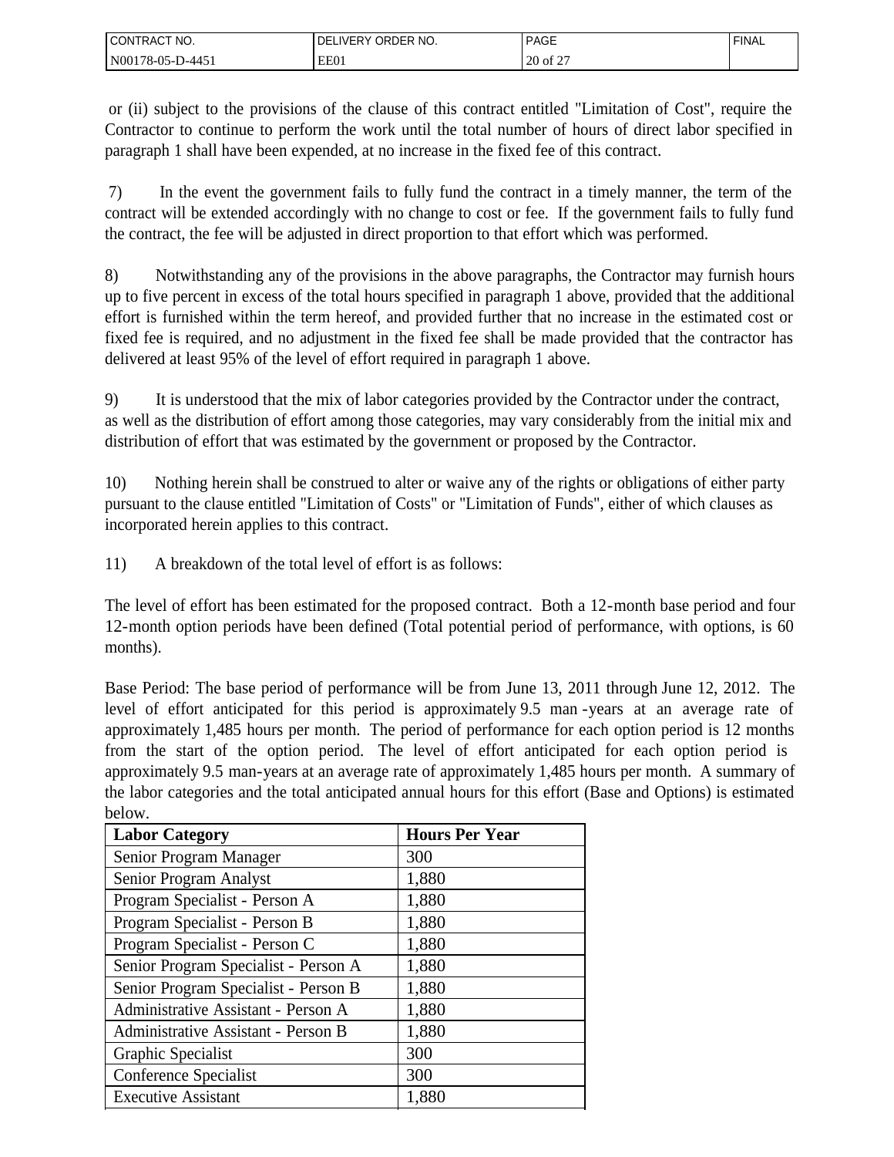| I CONTRACT NO.   | ORDER NO.<br>LIVERY<br>DEI | <b>PAGE</b>         | <b>FINAL</b> |
|------------------|----------------------------|---------------------|--------------|
| N00178-05-D-4451 | EE01                       | $c \sim$<br>20 of 2 |              |

 or (ii) subject to the provisions of the clause of this contract entitled "Limitation of Cost", require the Contractor to continue to perform the work until the total number of hours of direct labor specified in paragraph 1 shall have been expended, at no increase in the fixed fee of this contract.

 7) In the event the government fails to fully fund the contract in a timely manner, the term of the contract will be extended accordingly with no change to cost or fee. If the government fails to fully fund the contract, the fee will be adjusted in direct proportion to that effort which was performed.

8) Notwithstanding any of the provisions in the above paragraphs, the Contractor may furnish hours up to five percent in excess of the total hours specified in paragraph 1 above, provided that the additional effort is furnished within the term hereof, and provided further that no increase in the estimated cost or fixed fee is required, and no adjustment in the fixed fee shall be made provided that the contractor has delivered at least 95% of the level of effort required in paragraph 1 above.

9) It is understood that the mix of labor categories provided by the Contractor under the contract, as well as the distribution of effort among those categories, may vary considerably from the initial mix and distribution of effort that was estimated by the government or proposed by the Contractor.

10) Nothing herein shall be construed to alter or waive any of the rights or obligations of either party pursuant to the clause entitled "Limitation of Costs" or "Limitation of Funds", either of which clauses as incorporated herein applies to this contract.

11) A breakdown of the total level of effort is as follows:

The level of effort has been estimated for the proposed contract. Both a 12-month base period and four 12-month option periods have been defined (Total potential period of performance, with options, is 60 months).

Base Period: The base period of performance will be from June 13, 2011 through June 12, 2012. The level of effort anticipated for this period is approximately 9.5 man -years at an average rate of approximately 1,485 hours per month. The period of performance for each option period is 12 months from the start of the option period. The level of effort anticipated for each option period is approximately 9.5 man-years at an average rate of approximately 1,485 hours per month. A summary of the labor categories and the total anticipated annual hours for this effort (Base and Options) is estimated below.

| <b>Labor Category</b>                | <b>Hours Per Year</b> |
|--------------------------------------|-----------------------|
| Senior Program Manager               | 300                   |
| Senior Program Analyst               | 1,880                 |
| Program Specialist - Person A        | 1,880                 |
| Program Specialist - Person B        | 1,880                 |
| Program Specialist - Person C        | 1,880                 |
| Senior Program Specialist - Person A | 1,880                 |
| Senior Program Specialist - Person B | 1,880                 |
| Administrative Assistant - Person A  | 1,880                 |
| Administrative Assistant - Person B  | 1,880                 |
| Graphic Specialist                   | 300                   |
| Conference Specialist                | 300                   |
| <b>Executive Assistant</b>           | 1,880                 |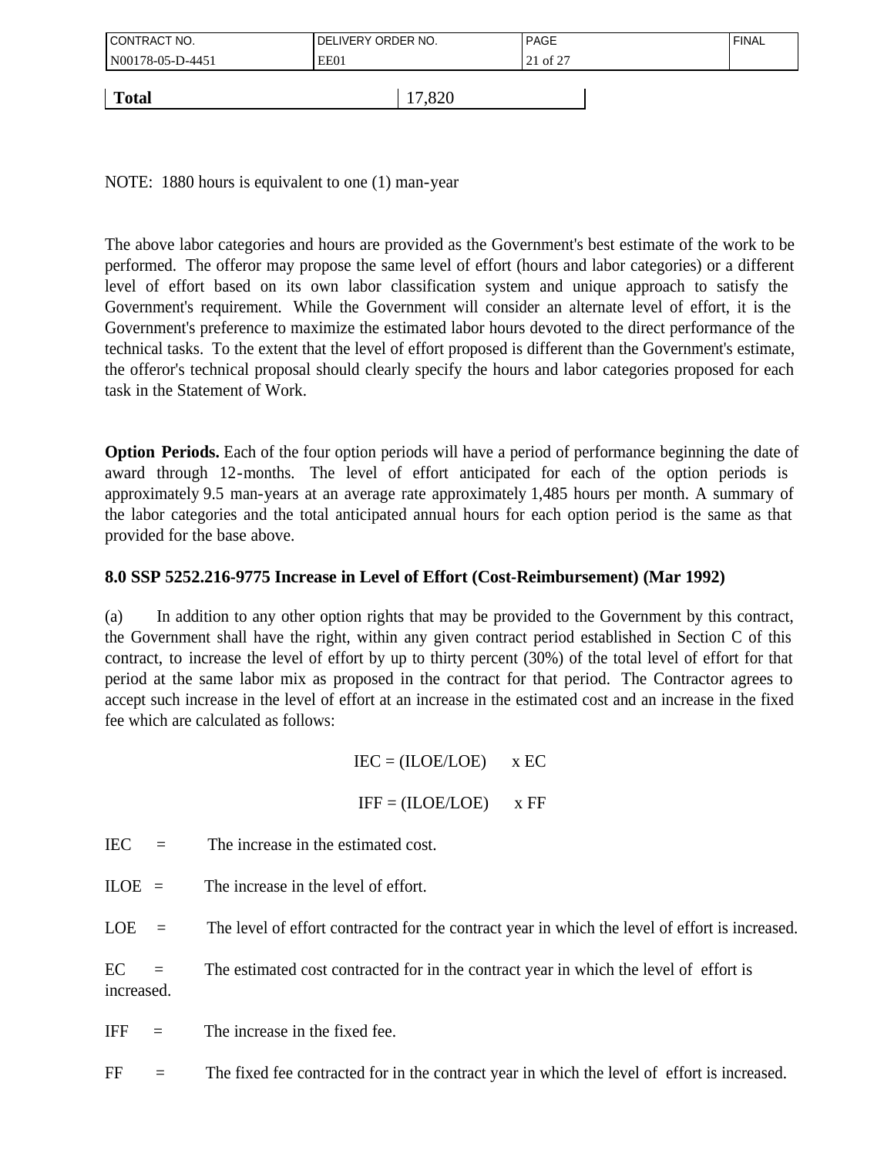| CONTRACT NO.     | I DELIVERY ORDER NO. | PAGE     | ' FINAL |
|------------------|----------------------|----------|---------|
| N00178-05-D-4451 | EE01                 | 21 of 27 |         |
|                  |                      |          |         |
| <b>Total</b>     | 17,820               |          |         |

NOTE: 1880 hours is equivalent to one (1) man-year

The above labor categories and hours are provided as the Government's best estimate of the work to be performed. The offeror may propose the same level of effort (hours and labor categories) or a different level of effort based on its own labor classification system and unique approach to satisfy the Government's requirement. While the Government will consider an alternate level of effort, it is the Government's preference to maximize the estimated labor hours devoted to the direct performance of the technical tasks. To the extent that the level of effort proposed is different than the Government's estimate, the offeror's technical proposal should clearly specify the hours and labor categories proposed for each task in the Statement of Work.

**Option Periods.** Each of the four option periods will have a period of performance beginning the date of award through 12-months. The level of effort anticipated for each of the option periods is approximately 9.5 man-years at an average rate approximately 1,485 hours per month. A summary of the labor categories and the total anticipated annual hours for each option period is the same as that provided for the base above.

# **8.0 SSP 5252.216-9775 Increase in Level of Effort (Cost-Reimbursement) (Mar 1992)**

(a) In addition to any other option rights that may be provided to the Government by this contract, the Government shall have the right, within any given contract period established in Section C of this contract, to increase the level of effort by up to thirty percent (30%) of the total level of effort for that period at the same labor mix as proposed in the contract for that period. The Contractor agrees to accept such increase in the level of effort at an increase in the estimated cost and an increase in the fixed fee which are calculated as follows:

# $IEC = (ILOE/LOE)$  x EC

$$
IFF = (ILOE/LOE) \qquad x FF
$$

 $IEC =$  The increase in the estimated cost.

 $ILOE =$  The increase in the level of effort.

LOE  $=$  The level of effort contracted for the contract year in which the level of effort is increased.

 $EC =$  The estimated cost contracted for in the contract year in which the level of effort is increased.

IFF  $=$  The increase in the fixed fee.

 $FF =$  The fixed fee contracted for in the contract year in which the level of effort is increased.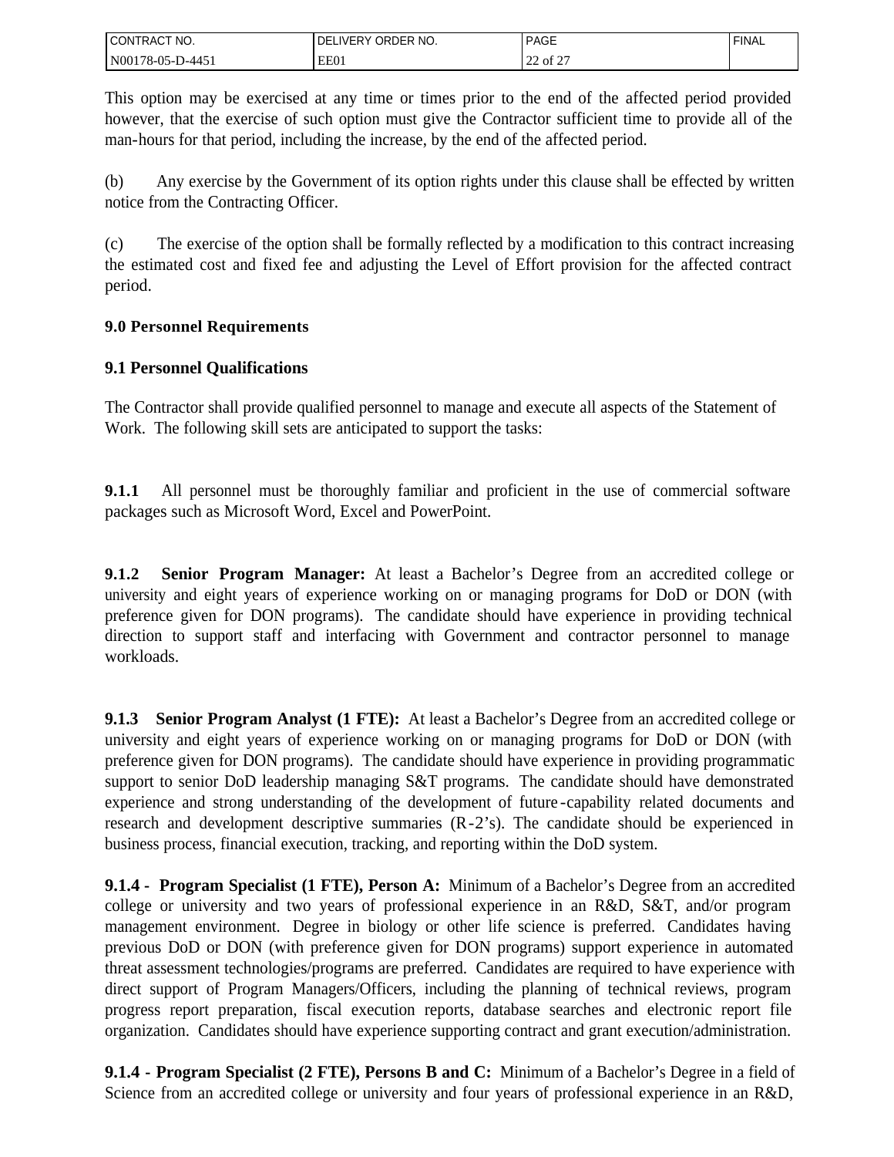| CT NO.<br><b>CONTRACT</b> | IVERY ORDER NO.<br>DF | <b>PAGE</b>        | <b>FINAL</b> |
|---------------------------|-----------------------|--------------------|--------------|
| N00178-05-D-445'          | EE01                  | $\sim$<br>22 of 21 |              |

This option may be exercised at any time or times prior to the end of the affected period provided however, that the exercise of such option must give the Contractor sufficient time to provide all of the man-hours for that period, including the increase, by the end of the affected period.

(b) Any exercise by the Government of its option rights under this clause shall be effected by written notice from the Contracting Officer.

(c) The exercise of the option shall be formally reflected by a modification to this contract increasing the estimated cost and fixed fee and adjusting the Level of Effort provision for the affected contract period.

# **9.0 Personnel Requirements**

# **9.1 Personnel Qualifications**

The Contractor shall provide qualified personnel to manage and execute all aspects of the Statement of Work. The following skill sets are anticipated to support the tasks:

**9.1.1** All personnel must be thoroughly familiar and proficient in the use of commercial software packages such as Microsoft Word, Excel and PowerPoint.

**9.1.2 Senior Program Manager:** At least a Bachelor's Degree from an accredited college or university and eight years of experience working on or managing programs for DoD or DON (with preference given for DON programs). The candidate should have experience in providing technical direction to support staff and interfacing with Government and contractor personnel to manage workloads.

**9.1.3 Senior Program Analyst (1 FTE):** At least a Bachelor's Degree from an accredited college or university and eight years of experience working on or managing programs for DoD or DON (with preference given for DON programs). The candidate should have experience in providing programmatic support to senior DoD leadership managing S&T programs. The candidate should have demonstrated experience and strong understanding of the development of future -capability related documents and research and development descriptive summaries (R-2's). The candidate should be experienced in business process, financial execution, tracking, and reporting within the DoD system.

**9.1.4 - Program Specialist (1 FTE), Person A:** Minimum of a Bachelor's Degree from an accredited college or university and two years of professional experience in an R&D, S&T, and/or program management environment. Degree in biology or other life science is preferred. Candidates having previous DoD or DON (with preference given for DON programs) support experience in automated threat assessment technologies/programs are preferred. Candidates are required to have experience with direct support of Program Managers/Officers, including the planning of technical reviews, program progress report preparation, fiscal execution reports, database searches and electronic report file organization. Candidates should have experience supporting contract and grant execution/administration.

**9.1.4 - Program Specialist (2 FTE), Persons B and C:** Minimum of a Bachelor's Degree in a field of Science from an accredited college or university and four years of professional experience in an R&D,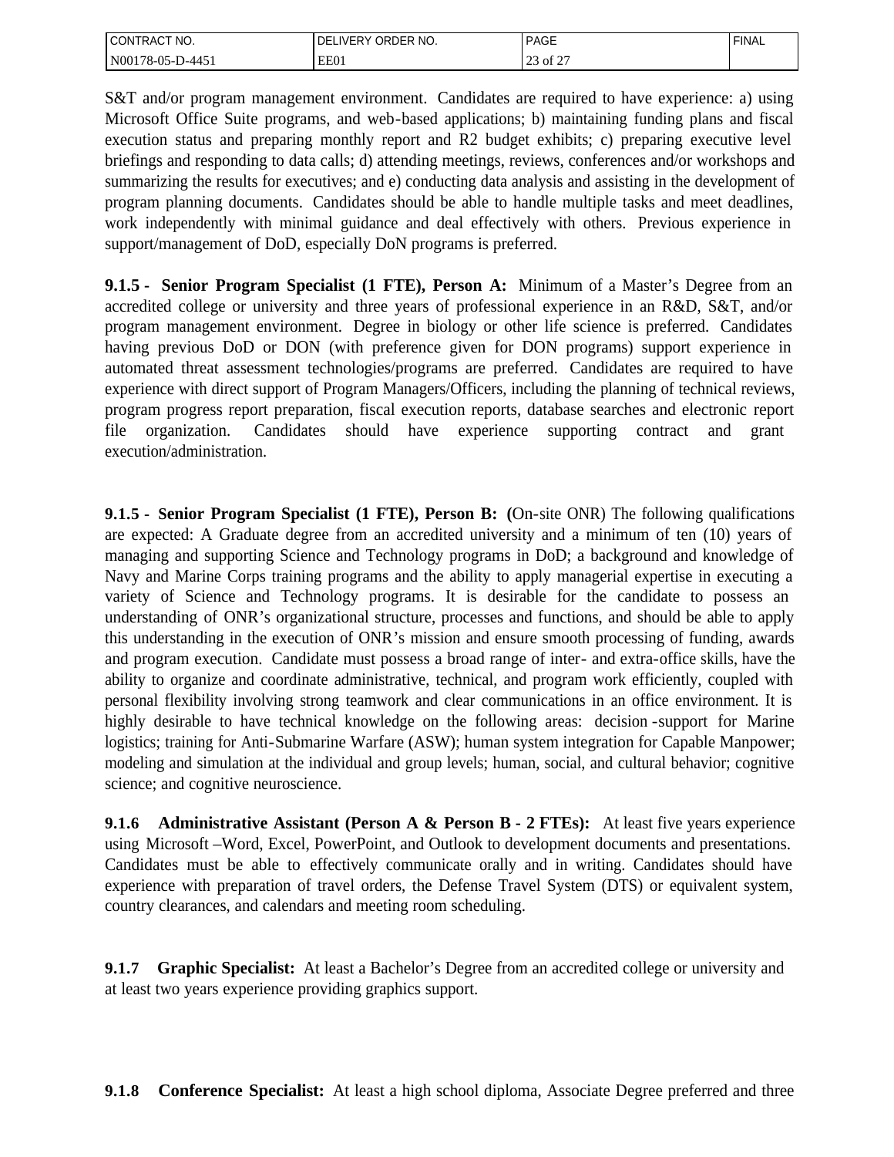| <b>I CONTRACT</b><br>TNO. | ORDER NO.<br><b>DELIVERY</b> | <b>PAGE</b>                        | <b>FINAL</b> |
|---------------------------|------------------------------|------------------------------------|--------------|
| $NO0178-05-D-445'$        | EE01                         | $\sim$ $\sim$ $\sim$<br>of 2<br>رے |              |

S&T and/or program management environment. Candidates are required to have experience: a) using Microsoft Office Suite programs, and web-based applications; b) maintaining funding plans and fiscal execution status and preparing monthly report and R2 budget exhibits; c) preparing executive level briefings and responding to data calls; d) attending meetings, reviews, conferences and/or workshops and summarizing the results for executives; and e) conducting data analysis and assisting in the development of program planning documents. Candidates should be able to handle multiple tasks and meet deadlines, work independently with minimal guidance and deal effectively with others. Previous experience in support/management of DoD, especially DoN programs is preferred.

**9.1.5 - Senior Program Specialist (1 FTE), Person A:** Minimum of a Master's Degree from an accredited college or university and three years of professional experience in an R&D, S&T, and/or program management environment. Degree in biology or other life science is preferred. Candidates having previous DoD or DON (with preference given for DON programs) support experience in automated threat assessment technologies/programs are preferred. Candidates are required to have experience with direct support of Program Managers/Officers, including the planning of technical reviews, program progress report preparation, fiscal execution reports, database searches and electronic report file organization. Candidates should have experience supporting contract and grant execution/administration.

**9.1.5 - Senior Program Specialist (1 FTE), Person B: (**On-site ONR) The following qualifications are expected: A Graduate degree from an accredited university and a minimum of ten (10) years of managing and supporting Science and Technology programs in DoD; a background and knowledge of Navy and Marine Corps training programs and the ability to apply managerial expertise in executing a variety of Science and Technology programs. It is desirable for the candidate to possess an understanding of ONR's organizational structure, processes and functions, and should be able to apply this understanding in the execution of ONR's mission and ensure smooth processing of funding, awards and program execution. Candidate must possess a broad range of inter- and extra-office skills, have the ability to organize and coordinate administrative, technical, and program work efficiently, coupled with personal flexibility involving strong teamwork and clear communications in an office environment. It is highly desirable to have technical knowledge on the following areas: decision -support for Marine logistics; training for Anti-Submarine Warfare (ASW); human system integration for Capable Manpower; modeling and simulation at the individual and group levels; human, social, and cultural behavior; cognitive science; and cognitive neuroscience.

**9.1.6 Administrative Assistant (Person A & Person B - 2 FTEs):** At least five years experience using Microsoft –Word, Excel, PowerPoint, and Outlook to development documents and presentations. Candidates must be able to effectively communicate orally and in writing. Candidates should have experience with preparation of travel orders, the Defense Travel System (DTS) or equivalent system, country clearances, and calendars and meeting room scheduling.

**9.1.7 Graphic Specialist:** At least a Bachelor's Degree from an accredited college or university and at least two years experience providing graphics support.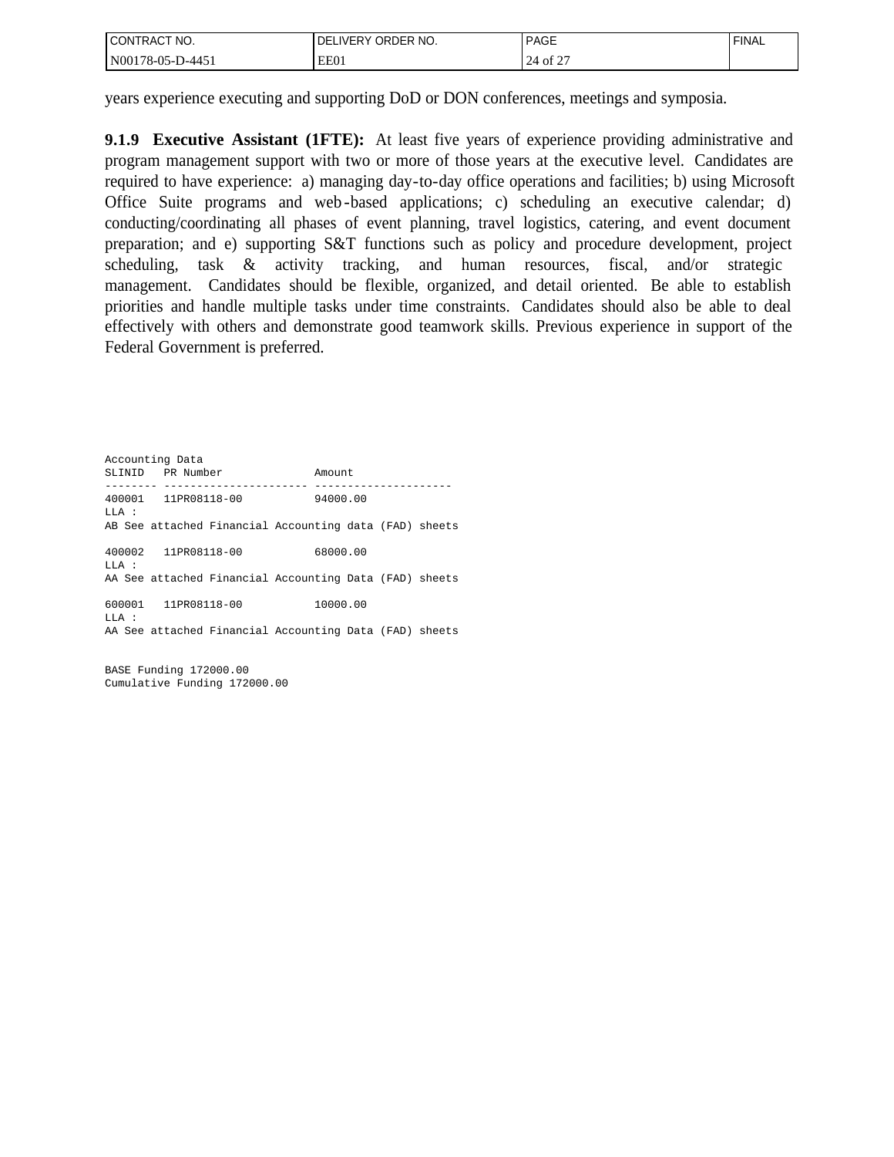| I CONTRACT NO.   | DELIVERY ORDER NO. | <b>PAGE</b>     | ' FINAL |
|------------------|--------------------|-----------------|---------|
| N00178-05-D-4451 | EE01               | 0.25<br>24 of 2 |         |

years experience executing and supporting DoD or DON conferences, meetings and symposia.

**9.1.9 Executive Assistant (1FTE):** At least five years of experience providing administrative and program management support with two or more of those years at the executive level. Candidates are required to have experience: a) managing day-to-day office operations and facilities; b) using Microsoft Office Suite programs and web -based applications; c) scheduling an executive calendar; d) conducting/coordinating all phases of event planning, travel logistics, catering, and event document preparation; and e) supporting S&T functions such as policy and procedure development, project scheduling, task & activity tracking, and human resources, fiscal, and/or strategic management. Candidates should be flexible, organized, and detail oriented. Be able to establish priorities and handle multiple tasks under time constraints. Candidates should also be able to deal effectively with others and demonstrate good teamwork skills. Previous experience in support of the Federal Government is preferred.

Accounting Data SLINID PR Number Amount -------- ---------------------- --------------------- 400001 11PR08118-00 94000.00 LLA : AB See attached Financial Accounting data (FAD) sheets 400002 11PR08118-00 68000.00 LLA : AA See attached Financial Accounting Data (FAD) sheets 600001 11PR08118-00 10000.00 LLA : AA See attached Financial Accounting Data (FAD) sheets

BASE Funding 172000.00 Cumulative Funding 172000.00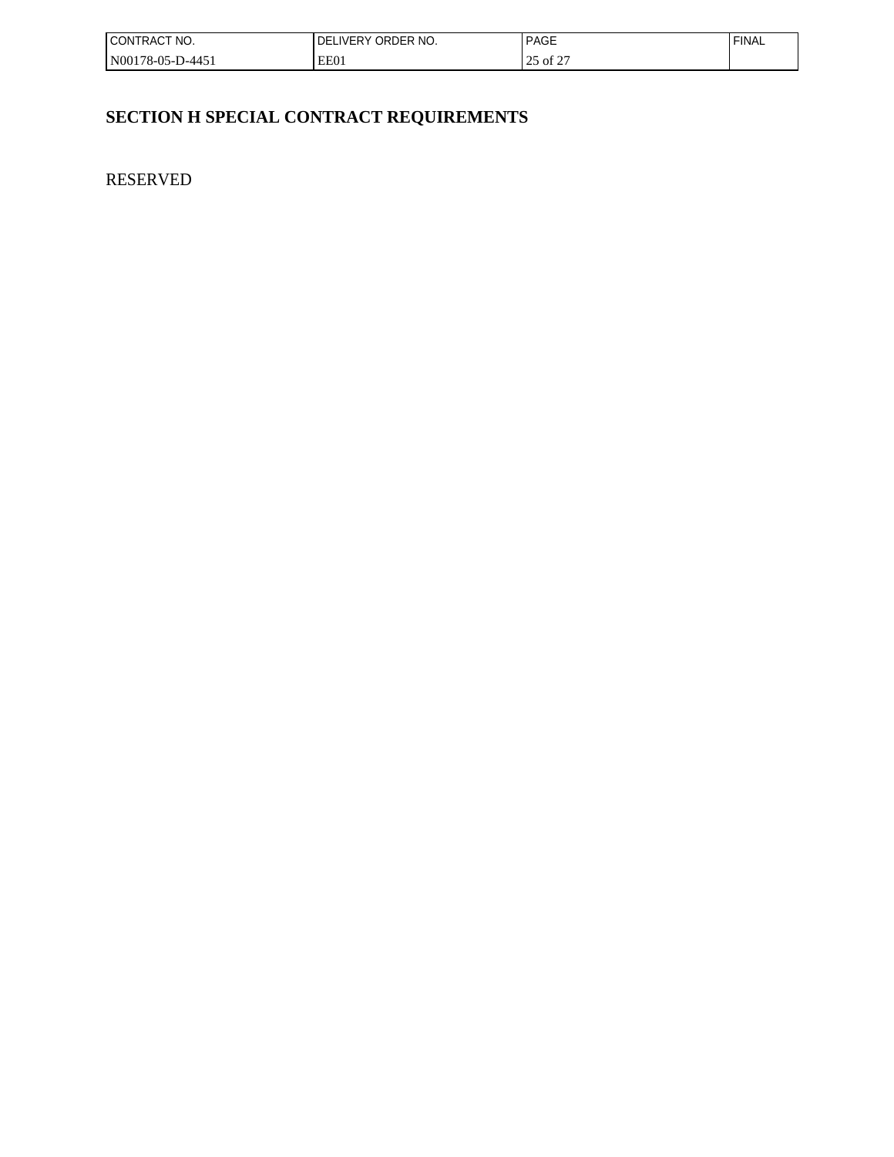| l CONTRACT<br>NO.        | ORDER NO.<br><b>IVERY</b><br>υF | <b>PAGE</b>                         | <b>FINAL</b> |
|--------------------------|---------------------------------|-------------------------------------|--------------|
| N00178-05-D-445 <i>!</i> | EE01                            | $\sim$ $\sim$ $\sim$<br>ot 2<br>ـ ب |              |

# **SECTION H SPECIAL CONTRACT REQUIREMENTS**

RESERVED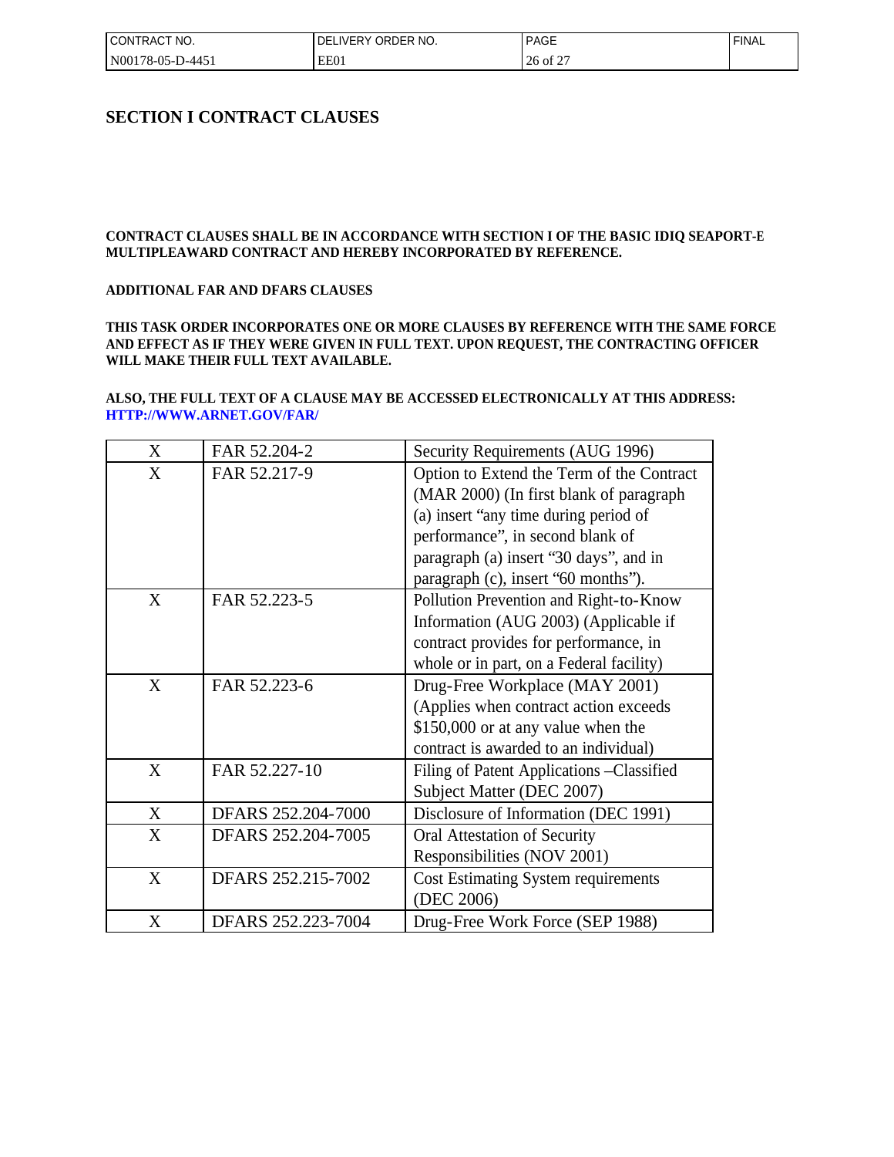| I CONTRACT NO.   | ! DELIVERY ORDER NO. | <b>PAGE</b> | <b>FINAL</b> |
|------------------|----------------------|-------------|--------------|
| N00178-05-D-4451 | EE01                 | 26 of 27    |              |

#### **SECTION I CONTRACT CLAUSES**

#### **CONTRACT CLAUSES SHALL BE IN ACCORDANCE WITH SECTION I OF THE BASIC IDIQ SEAPORT-E MULTIPLEAWARD CONTRACT AND HEREBY INCORPORATED BY REFERENCE.**

#### **ADDITIONAL FAR AND DFARS CLAUSES**

#### **THIS TASK ORDER INCORPORATES ONE OR MORE CLAUSES BY REFERENCE WITH THE SAME FORCE AND EFFECT AS IF THEY WERE GIVEN IN FULL TEXT. UPON REQUEST, THE CONTRACTING OFFICER WILL MAKE THEIR FULL TEXT AVAILABLE.**

#### **ALSO, THE FULL TEXT OF A CLAUSE MAY BE ACCESSED ELECTRONICALLY AT THIS ADDRESS: HTTP://WWW.ARNET.GOV/FAR/**

| X | FAR 52.204-2       | Security Requirements (AUG 1996)           |
|---|--------------------|--------------------------------------------|
| X | FAR 52.217-9       | Option to Extend the Term of the Contract  |
|   |                    | (MAR 2000) (In first blank of paragraph    |
|   |                    | (a) insert "any time during period of      |
|   |                    | performance", in second blank of           |
|   |                    | paragraph (a) insert '30 days'', and in    |
|   |                    | paragraph (c), insert "60 months").        |
| X | FAR 52.223-5       | Pollution Prevention and Right-to-Know     |
|   |                    | Information (AUG 2003) (Applicable if      |
|   |                    | contract provides for performance, in      |
|   |                    | whole or in part, on a Federal facility)   |
| X | FAR 52.223-6       | Drug-Free Workplace (MAY 2001)             |
|   |                    | (Applies when contract action exceeds)     |
|   |                    | \$150,000 or at any value when the         |
|   |                    | contract is awarded to an individual)      |
| X | FAR 52.227-10      | Filing of Patent Applications - Classified |
|   |                    | Subject Matter (DEC 2007)                  |
| X | DFARS 252.204-7000 | Disclosure of Information (DEC 1991)       |
| X | DFARS 252.204-7005 | Oral Attestation of Security               |
|   |                    | Responsibilities (NOV 2001)                |
| X | DFARS 252.215-7002 | <b>Cost Estimating System requirements</b> |
|   |                    | (DEC 2006)                                 |
| X | DFARS 252.223-7004 | Drug-Free Work Force (SEP 1988)            |